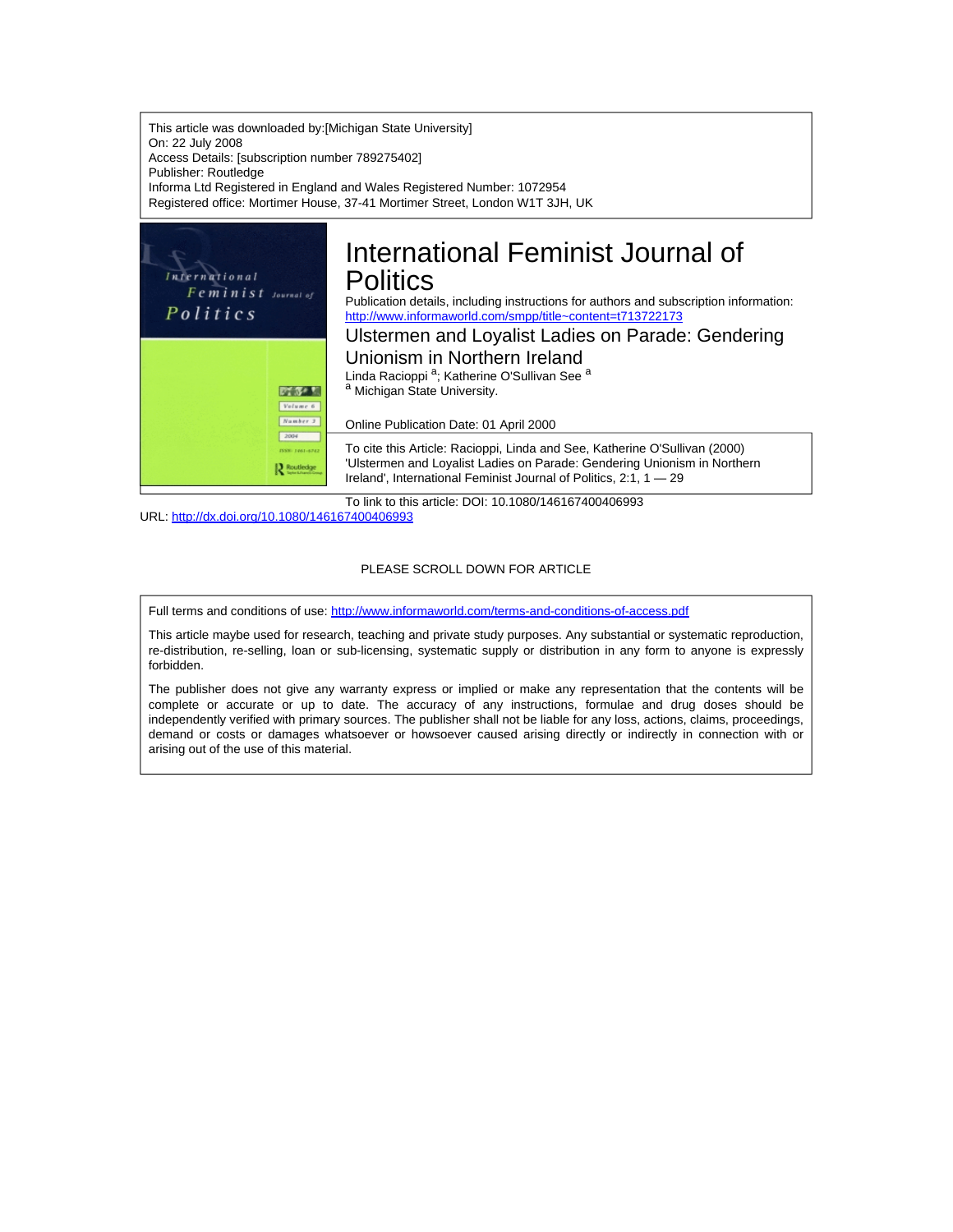This article was downloaded by:[Michigan State University] On: 22 July 2008 Access Details: [subscription number 789275402] Publisher: Routledge Informa Ltd Registered in England and Wales Registered Number: 1072954 Registered office: Mortimer House, 37-41 Mortimer Street, London W1T 3JH, UK



URL: <http://dx.doi.org/10.1080/146167400406993>

#### PLEASE SCROLL DOWN FOR ARTICLE

Full terms and conditions of use: <http://www.informaworld.com/terms-and-conditions-of-access.pdf>

This article maybe used for research, teaching and private study purposes. Any substantial or systematic reproduction, re-distribution, re-selling, loan or sub-licensing, systematic supply or distribution in any form to anyone is expressly forbidden.

The publisher does not give any warranty express or implied or make any representation that the contents will be complete or accurate or up to date. The accuracy of any instructions, formulae and drug doses should be independently verified with primary sources. The publisher shall not be liable for any loss, actions, claims, proceedings, demand or costs or damages whatsoever or howsoever caused arising directly or indirectly in connection with or arising out of the use of this material.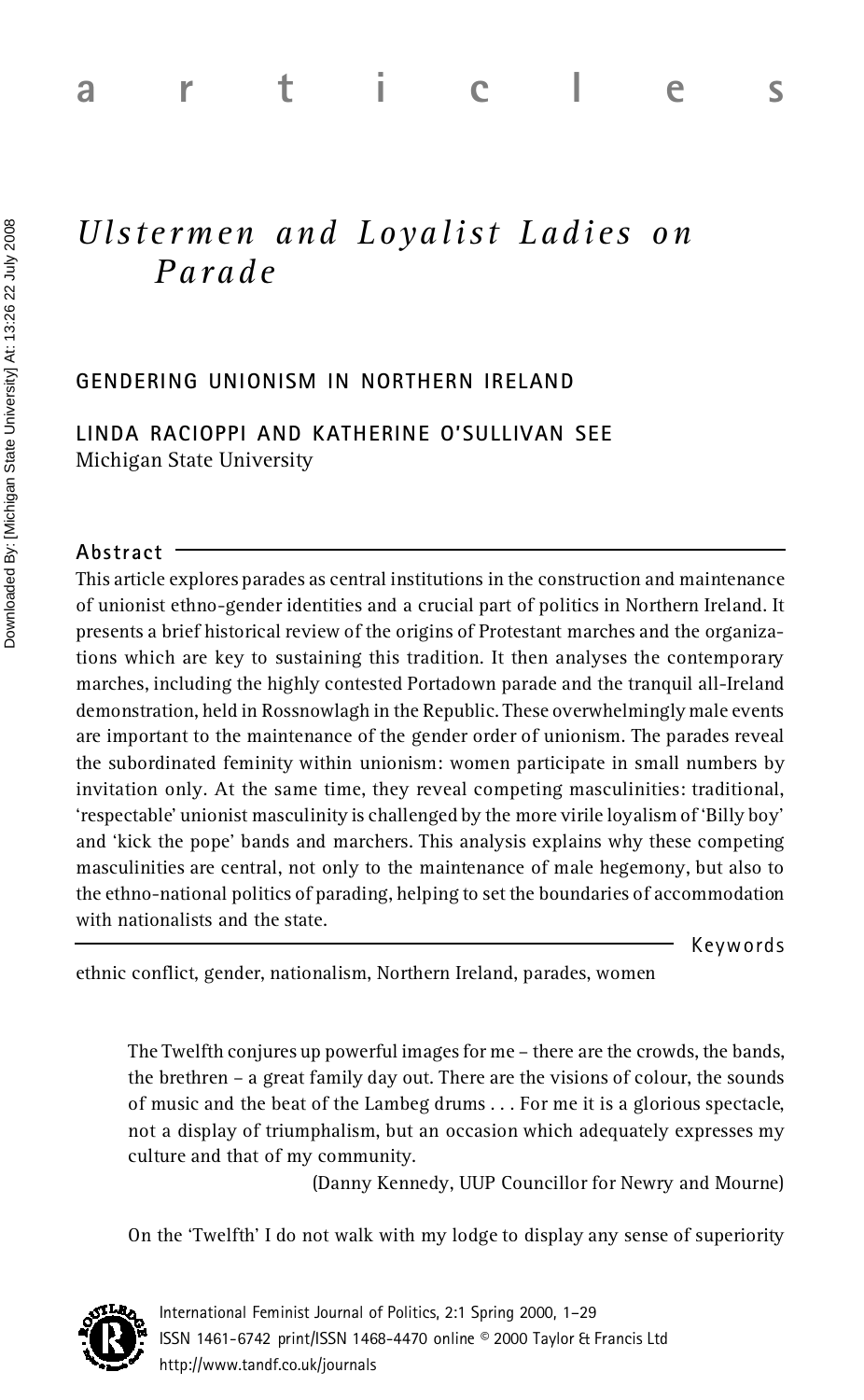# *Uls t e rmen and Loyali s t Ladi es on Parade*

## **GENDERING UNIONISM IN NORTHERN IRELAND**

**LINDA RACIOPPI AND KATHERINE O'SULLIVAN SEE** Michigan State University

#### **Abstract**

**Example 12:26 22 July 2008 and Example 12:26 22 July 2008 and Parade**<br> **Example 2008**<br> **Example 2008 a random Parade**<br> **Example 2008 a random Parade**<br> **Example 2008 a random Parade**<br> **Example 2008 a random Paradest Unive** This article explores parades as central institutions in the construction and maintenance of unionist ethno-gender identities and a crucial part of politics in Northern Ireland. It presents a brief historical review of the origins of Protestant marches and the organizations which are key to sustaining this tradition. It then analyses the contemporary marches, including the highly contested Portadown parade and the tranquil all-Ireland demonstration, held in Rossnowlagh in the Republic. These overwhelmingly male events are important to the maintenance of the gender order of unionism. The parades reveal the subordinated feminity within unionism: women participate in small numbers by invitation only. At the same time, they reveal competing masculinities: traditional, 'respectable' unionist masculinity is challenged by the more virile loyalism of 'Billy boy' and 'kick the pope' bands and marchers. This analysis explains why these competing masculinities are central, not only to the maintenance of male hegemony, but also to the ethno-national politics of parading, helping to set the boundaries of accommodation with nationalists and the state.

Keywords

ethnic conflict, gender, nationalism, Northern Ireland, parades, women

The Twelfth conjures up powerful images for me – there are the crowds, the bands, the brethren – a great family day out. There are the visions of colour, the sounds of music and the beat of the Lambeg drums .. . For me it is a glorious spectacle, not a display of triumphalism, but an occasion which adequately expresses my culture and that of my community.

(Danny Kennedy, UUP Councillor for Newry and Mourne)

On the 'Twelfth' I do not walk with my lodge to display any sense of superiority

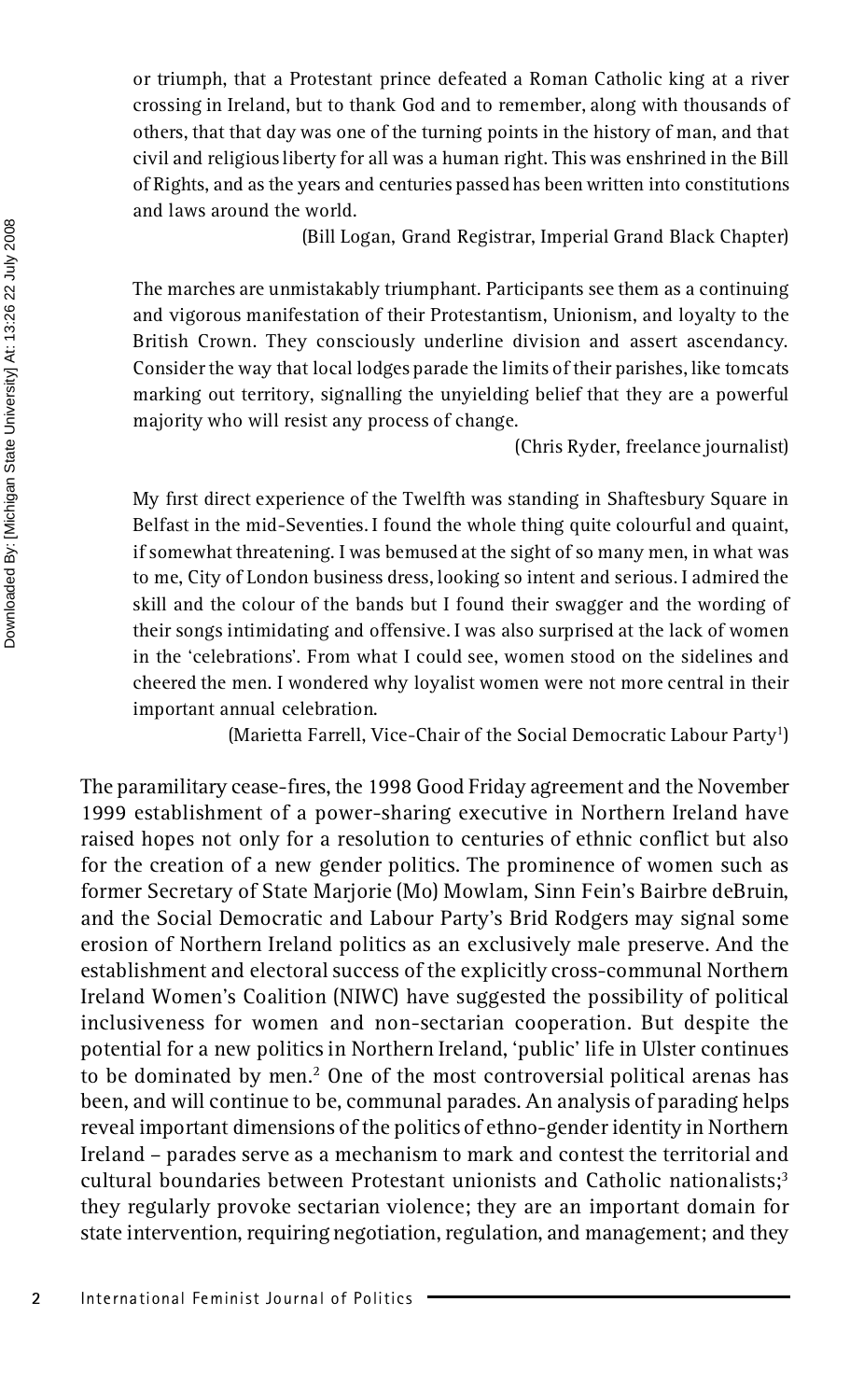or triumph, that a Protestant prince defeated a Roman Catholic king at a river crossing in Ireland, but to thank God and to remember, along with thousands of others, that that day was one of the turning points in the history of man, and that civil and religious liberty for all was a human right. This was enshrined in the Bill of Rights, and as the years and centuries passed has been written into constitutions and laws around the world.

(Bill Logan, Grand Registrar, Imperial Grand Black Chapter)

The marches are unmistakably triumphant. Participants see them as a continuing and vigorous manifestation of their Protestantism, Unionism, and loyalty to the British Crown. They consciously underline division and assert ascendancy. Consider the way that local lodges parade the limits of their parishes, like tomcats marking out territory, signalling the unyielding belief that they are a powerful majority who will resist any process of change.

(Chris Ryder, freelance journalist)

My first direct experience of the Twelfth was standing in Shaftesbury Square in Belfast in the mid-Seventies. I found the whole thing quite colourful and quaint, if somewhat threatening. I was bemused at the sight of so many men, in what was to me, City of London business dress, looking so intent and serious. I admired the skill and the colour of the bands but I found their swagger and the wording of their songs intimidating and offensive. I was also surprised at the lack of women in the 'celebrations'. From what I could see, women stood on the sidelines and cheered the men. I wondered why loyalist women were not more central in their important annual celebration.

(Marietta Farrell, Vice-Chair of the Social Democratic Labour Party 1 )

The paramilitary cease-fires, the 1998 Good Friday agreement and the November 1999 establishment of a power-sharing executive in Northern Ireland have raised hopes not only for a resolution to centuries of ethnic conflict but also for the creation of a new gender politics. The prominence of women such as former Secretary of State Marjorie (Mo) Mowlam, Sinn Fein's Bairbre deBruin, and the Social Democratic and Labour Party's Brid Rodgers may signal some erosion of Northern Ireland politics as an exclusively male preserve. And the establishment and electoral success of the explicitly cross-communal Northern Ireland Women's Coalition (NIWC) have suggested the possibility of political inclusiveness for women and non-sectarian cooperation. But despite the potential for a new politics in Northern Ireland, 'public' life in Ulster continues to be dominated by men.<sup>2</sup> One of the most controversial political arenas has been, and will continue to be, communal parades. An analysis of parading helps reveal important dimensions of the politics of ethno-gender identity in Northern Ireland – parades serve as a mechanism to mark and contest the territorial and cultural boundaries between Protestant unionists and Catholic nationalists;<sup>3</sup> they regularly provoke sectarian violence; they are an important domain for state intervention, requiring negotiation, regulation, and management; and they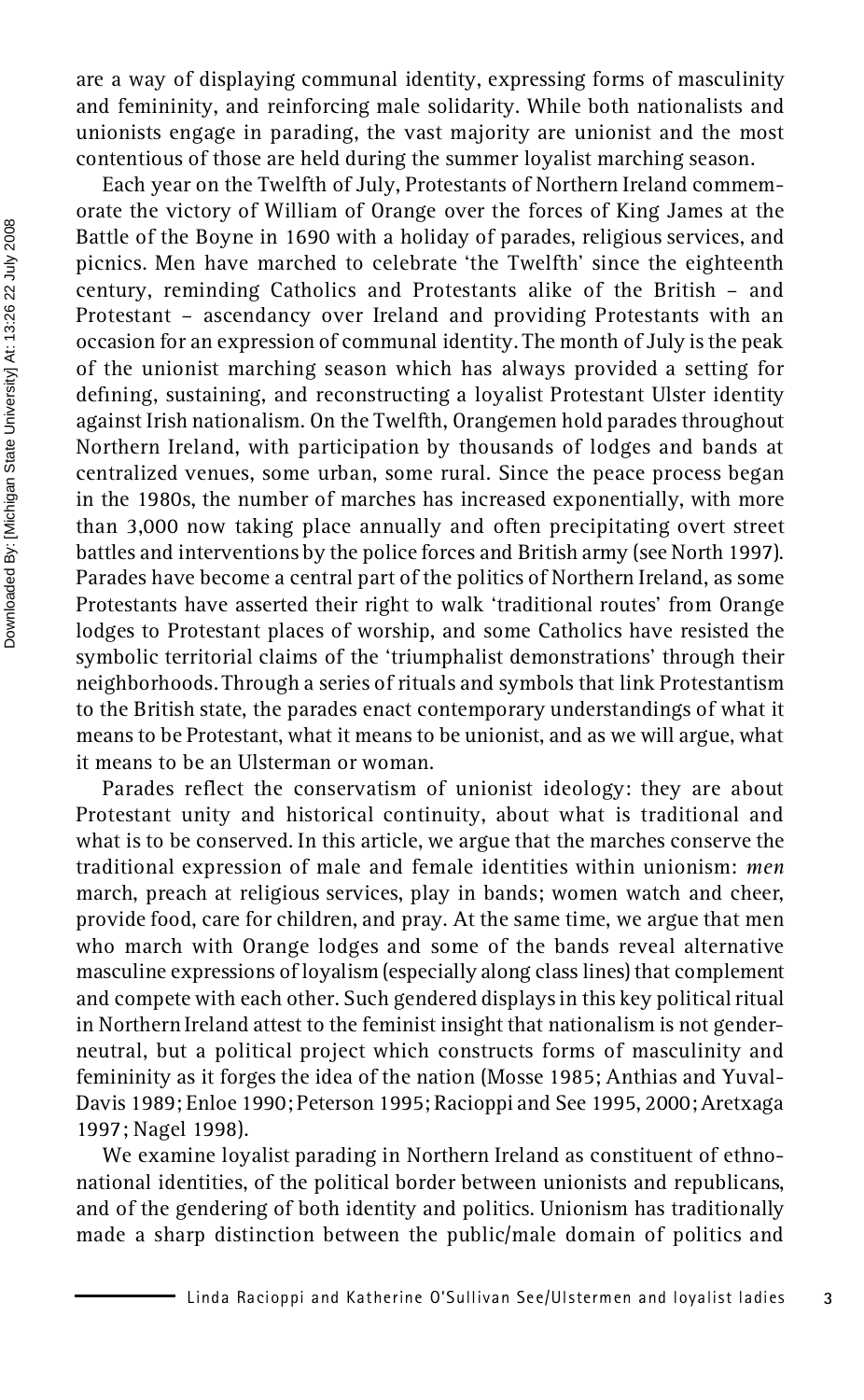are a way of displaying communal identity, expressing forms of masculinity and femininity, and reinforcing male solidarity. While both nationalists and unionists engage in parading, the vast majority are unionist and the most contentious of those are held during the summer loyalist marching season.

Each year on the Twelfth of July, Protestants of Northern Ireland commem orate the victory of William of Orange over the forces of King James at the Battle of the Boyne in 1690 with a holiday of parades, religious services, and picnics. Men have marched to celebrate 'the Twelfth' since the eighteenth century, reminding Catholics and Protestants alike of the British – and Protestant – ascendancy over Ireland and providing Protestants with an occasion for an expression of communal identity. The month of July is the peak of the unionist marching season which has always provided a setting for defining, sustaining, and reconstructing a loyalist Protestant Ulster identity against Irish nationalism. On the Twelfth, Orangemen hold parades throughout Northern Ireland, with participation by thousands of lodges and bands at centralized venues, some urban, some rural. Since the peace process began in the 1980s, the number of marches has increased exponentially, with more than 3,000 now taking place annually and often precipitating overt street battles and interventions by the police forces and British army (see North 1997). Parades have become a central part of the politics of Northern Ireland, as some Protestants have asserted their right to walk 'traditional routes' from Orange lodges to Protestant places of worship, and some Catholics have resisted the symbolic territorial claims of the 'triumphalist demonstrations' through their neighborhoods. Through a series of rituals and symbols that link Protestantism to the British state, the parades enact contemporary understandings of what it means to be Protestant, what it means to be unionist, and as we will argue, what it means to be an Ulsterman or woman.

Parades reflect the conservatism of unionist ideology: they are about Protestant unity and historical continuity, about what is traditional and what is to be conserved. In this article, we argue that the marches conserve the traditional expression of male and female identities within unionism: *men* march, preach at religious services, play in bands; women watch and cheer, provide food, care for children, and pray. At the same time, we argue that men who march with Orange lodges and some of the bands reveal alternative masculine expressions of loyalism (especially along class lines) that complement and compete with each other. Such gendered displays in this key political ritual in Northern Ireland attest to the feminist insight that nationalism is not gender neutral, but a political project which constructs forms of masculinity and femininity as it forges the idea of the nation (Mosse 1985; Anthias and Yuval- Davis 1989; Enloe 1990; Peterson 1995; Racioppi and See 1995, 2000; Aretxaga 1997; Nagel 1998).

We examine loyalist parading in Northern Ireland as constituent of ethno national identities, of the political border between unionists and republicans, and of the gendering of both identity and politics. Unionism has traditionally made a sharp distinction between the public/male domain of politics and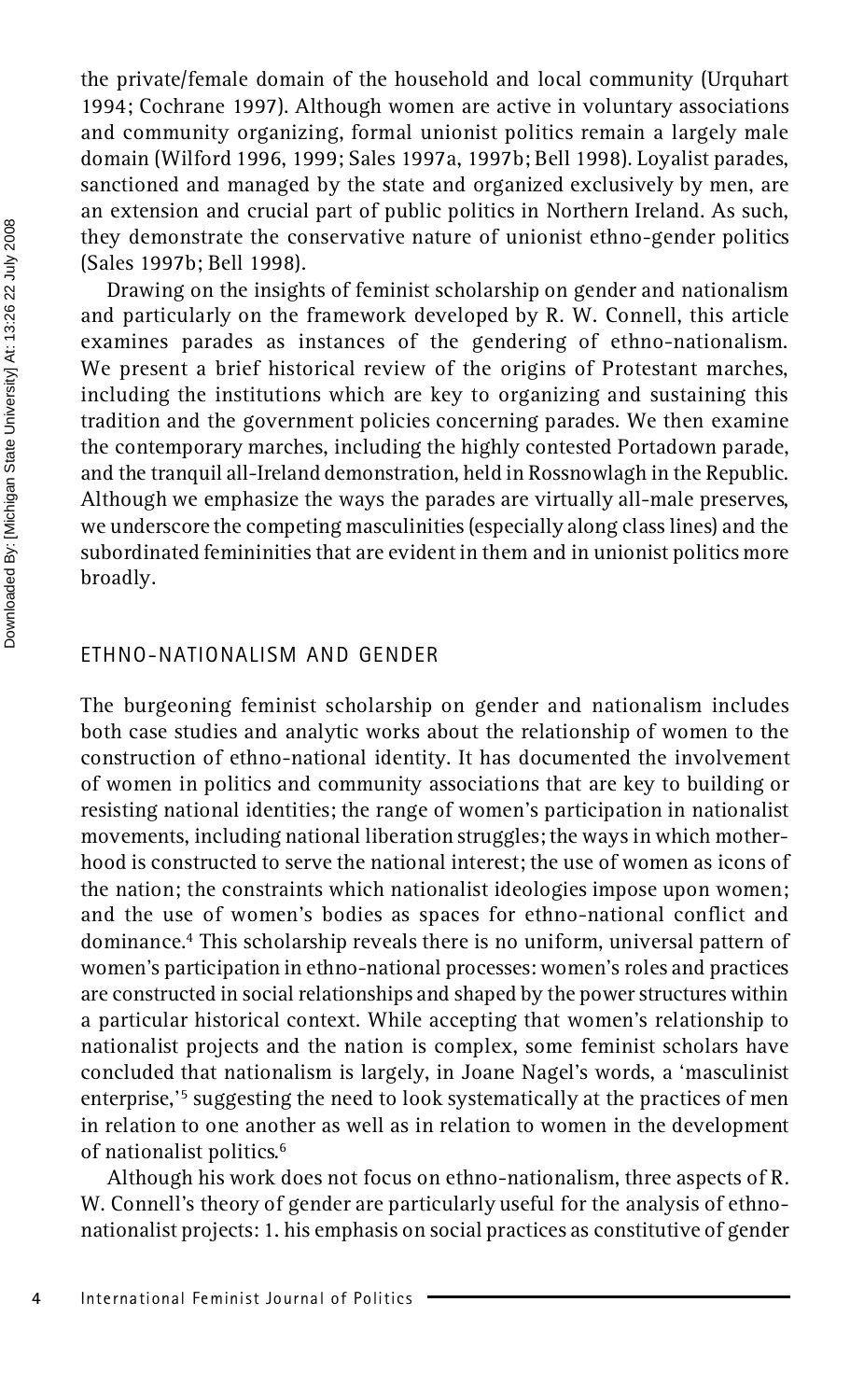the private/female domain of the household and local community (Urquhart 1994; Cochrane 1997). Although women are active in voluntary associations and community organizing, formal unionist politics remain a largely male domain (Wilford 1996, 1999; Sales 1997a, 1997b; Bell 1998). Loyalist parades, sanctioned and managed by the state and organized exclusively by men, are an extension and crucial part of public politics in Northern Ireland. As such, they demonstrate the conservative nature of unionist ethno-gender politics (Sales 1997b; Bell 1998).

Drawing on the insights of feminist scholarship on gender and nationalism and particularly on the framework developed by R. W. Connell, this article examines parades as instances of the gendering of ethno-nationalism. We present a brief historical review of the origins of Protestant marches, including the institutions which are key to organizing and sustaining this tradition and the government policies concerning parades. We then examine the contemporary marches, including the highly contested Portadown parade, and the tranquil all-Ireland demonstration, held in Rossnowlagh in the Republic. Although we emphasize the ways the parades are virtually all-male preserves, we underscore the competing masculinities (especially along class lines) and the subordinated femininities that are evident in them and in unionist politics more broadly.

### ETHNO-NATIONALISM AND GENDER

The burgeoning feminist scholarship on gender and nationalism includes both case studies and analytic works about the relationship of women to the construction of ethno-national identity. It has documented the involvement of women in politics and community associations that are key to building or resisting national identities; the range of women's participation in nationalist movements, including national liberation struggles; the ways in which mother hood is constructed to serve the national interest; the use of women as icons of the nation; the constraints which nationalist ideologies impose upon women; and the use of women's bodies as spaces for ethno-national conflict and dominance.<sup>4</sup> This scholarship reveals there is no uniform, universal pattern of women's participation in ethno-national processes: women's roles and practices are constructed in social relationships and shaped by the power structures within a particular historical context. While accepting that women's relationship to nationalist projects and the nation is complex, some feminist scholars have concluded that nationalism is largely, in Joane Nagel's words, a 'masculinist enterprise,<sup>'5</sup> suggesting the need to look systematically at the practices of men in relation to one another as well as in relation to women in the development of nationalist politics.<sup>6</sup>

Although his work does not focus on ethno-nationalism, three aspects of R. W. Connell's theory of gender are particularly useful for the analysis of ethno nationalist projects: 1. his emphasis on social practices as constitutive of gender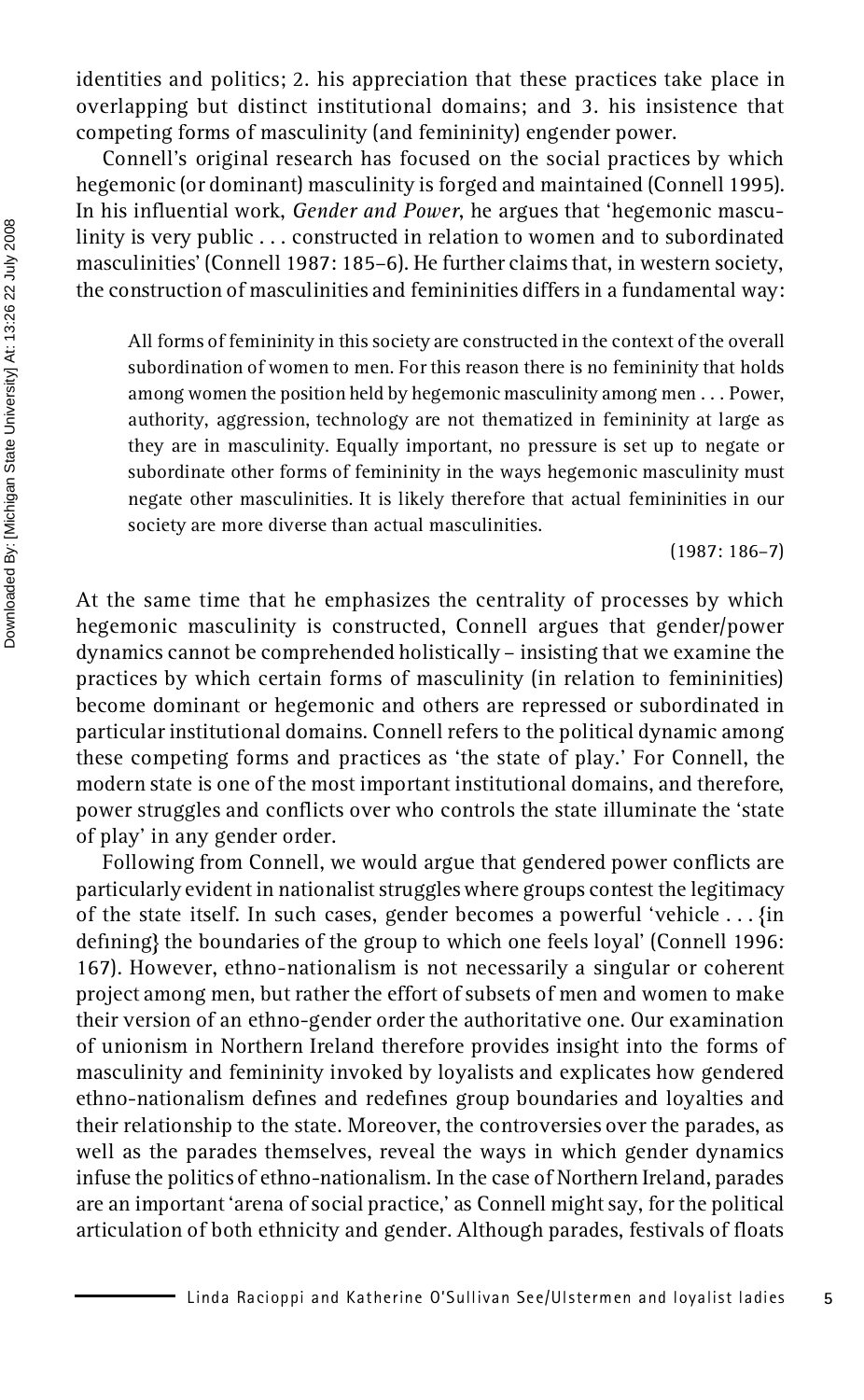identities and politics; 2. his appreciation that these practices take place in overlapping but distinct institutional domains; and 3. his insistence that competing forms of masculinity (and femininity) engender power.

Connell's original research has focused on the social practices by which hegemonic (or dominant) masculinity is forged and maintained (Connell 1995). In his influential work, *Gender and Power*, he argues that 'hegemonic masculinity is very public . . . constructed in relation to women and to subordinated masculinities' (Connell 1987: 185–6). He further claims that, in western society, the construction of masculinities and femininities differs in a fundamental way:

All forms of femininity in this society are constructed in the context of the overall subordination of women to men. For this reason there is no femininity that holds among women the position held by hegemonic masculinity among men . . . Power, authority, aggression, technology are not thematized in femininity at large as they are in masculinity. Equally important, no pressure is set up to negate or subordinate other forms of femininity in the ways hegemonic masculinity must negate other masculinities. It is likely therefore that actual femininities in our society are more diverse than actual masculinities.

(1987: 186–7)

At the same time that he emphasizes the centrality of processes by which hegemonic masculinity is constructed, Connell argues that gender/power dynamics cannot be comprehended holistically – insisting that we examine the practices by which certain forms of masculinity (in relation to femininities) become dominant or hegemonic and others are repressed or subordinated in particular institutional domains. Connell refers to the political dynamic among these competing forms and practices as 'the state of play.' For Connell, the modern state is one of the most important institutional domains, and therefore, power struggles and conflicts over who controls the state illuminate the 'state of play' in any gender order.

Following from Connell, we would argue that gendered power conflicts are particularly evident in nationalist struggles where groups contest the legitimacy of the state itself. In such cases, gender becomes a powerful 'vehicle . . . {in defining} the boundaries of the group to which one feels loyal' (Connell 1996: 167). However, ethno-nationalism is not necessarily a singular or coherent project among men, but rather the effort of subsets of men and women to make their version of an ethno-gender order the authoritative one. Our examination of unionism in Northern Ireland therefore provides insight into the forms of masculinity and femininity invoked by loyalists and explicates how gendered ethno-nationalism defines and redefines group boundaries and loyalties and their relationship to the state. Moreover, the controversies over the parades, as well as the parades themselves, reveal the ways in which gender dynamics infuse the politics of ethno-nationalism. In the case of Northern Ireland, parades are an important 'arena of social practice,' as Connell might say, for the political articulation of both ethnicity and gender. Although parades, festivals of floats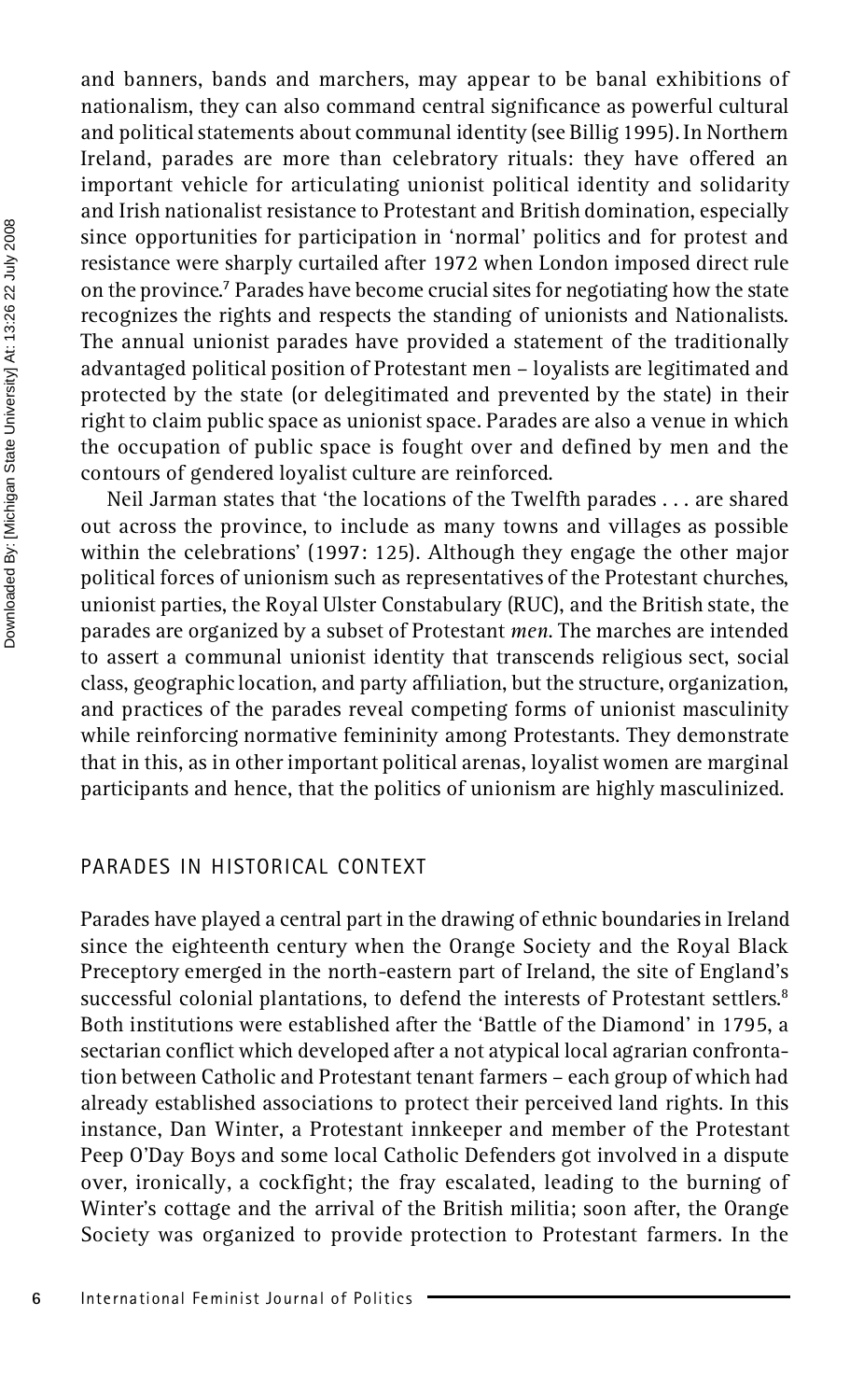and banners, bands and marchers, may appear to be banal exhibitions of nationalism, they can also command central significance as powerful cultural and political statements about communal identity (see Billig 1995). In Northern Ireland, parades are more than celebratory rituals: they have offered an important vehicle for articulating unionist political identity and solidarity and Irish nationalist resistance to Protestant and British domination, especially since opportunities for participation in 'normal' politics and for protest and resistance were sharply curtailed after 1972 when London imposed direct rule on the province.<sup>7</sup> Parades have become crucial sites for negotiating how the state recognizes the rights and respects the standing of unionists and Nationalists. The annual unionist parades have provided a statement of the traditionally advantaged political position of Protestant men – loyalists are legitimated and protected by the state (or delegitimated and prevented by the state) in their right to claim public space as unionist space. Parades are also a venue in which the occupation of public space is fought over and defined by men and the contours of gendered loyalist culture are reinforced.

Neil Jarman states that 'the locations of the Twelfth parades . . . are shared out across the province, to include as many towns and villages as possible within the celebrations' (1997: 125). Although they engage the other major political forces of unionism such as representatives of the Protestant churches, unionist parties, the Royal Ulster Constabulary (RUC), and the British state, the parades are organized by a subset of Protestant *men*. The marches are intended to assert a communal unionist identity that transcends religious sect, social class, geographic location, and party afliation, but the structure, organization, and practices of the parades reveal competing forms of unionist masculinity while reinforcing normative femininity among Protestants. They demonstrate that in this, as in other important political arenas, loyalist women are marginal participants and hence, that the politics of unionism are highly masculinized.

#### PARADES IN HISTORICAL CONTEXT

Parades have played a central part in the drawing of ethnic boundaries in Ireland since the eighteenth century when the Orange Society and the Royal Black Preceptory emerged in the north-eastern part of Ireland, the site of England's successful colonial plantations, to defend the interests of Protestant settlers.<sup>8</sup> Both institutions were established after the 'Battle of the Diamond' in 1795, a sectarian conflict which developed after a not atypical local agrarian confrontation between Catholic and Protestant tenant farmers – each group of which had already established associations to protect their perceived land rights. In this instance, Dan Winter, a Protestant innkeeper and member of the Protestant Peep O'Day Boys and some local Catholic Defenders got involved in a dispute over, ironically, a cockfight; the fray escalated, leading to the burning of Winter's cottage and the arrival of the British militia; soon after, the Orange Society was organized to provide protection to Protestant farmers. In the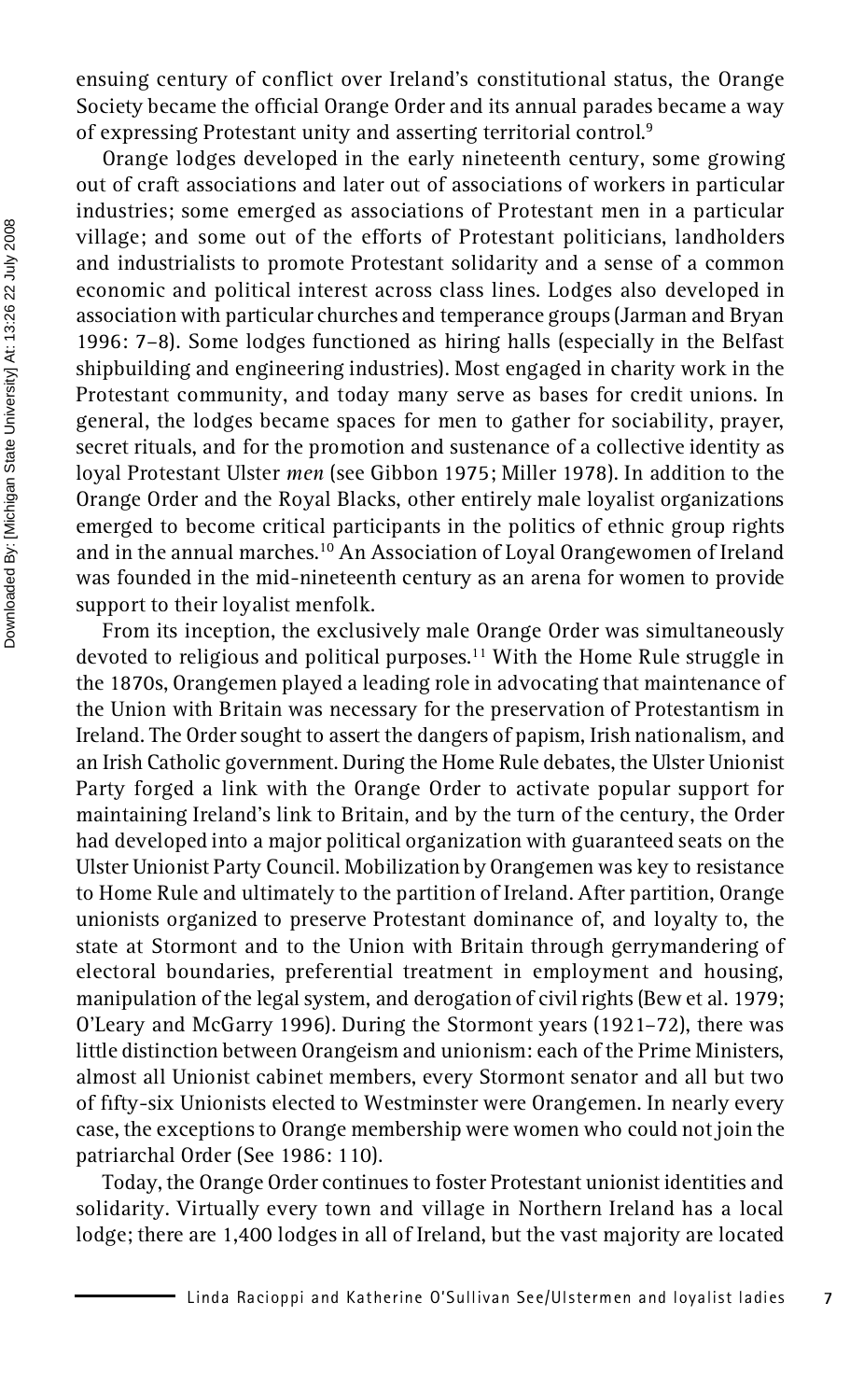ensuing century of conflict over Ireland's constitutional status, the Orange Society became the official Orange Order and its annual parades became a way of expressing Protestant unity and asserting territorial control.<sup>9</sup>

Orange lodges developed in the early nineteenth century, some growing out of craft associations and later out of associations of workers in particular industries; some emerged as associations of Protestant men in a particular village; and some out of the efforts of Protestant politicians, landholders and industrialists to promote Protestant solidarity and a sense of a common economic and political interest across class lines. Lodges also developed in association with particular churches and temperance groups (Jarman and Bryan 1996: 7–8). Some lodges functioned as hiring halls (especially in the Belfast shipbuilding and engineering industries). Most engaged in charity work in the Protestant community, and today many serve as bases for credit unions. In general, the lodges became spaces for men to gather for sociability, prayer, secret rituals, and for the promotion and sustenance of a collective identity as loyal Protestant Ulster *men* (see Gibbon 1975; Miller 1978). In addition to the Orange Order and the Royal Blacks, other entirely male loyalist organizations emerged to become critical participants in the politics of ethnic group rights and in the annual marches.<sup>10</sup> An Association of Loyal Orangewomen of Ireland was founded in the mid-nineteenth century as an arena for women to provide support to their loyalist menfolk.

From its inception, the exclusively male Orange Order was simultaneously devoted to religious and political purposes.<sup>11</sup> With the Home Rule struggle in the 1870s, Orangemen played a leading role in advocating that maintenance of the Union with Britain was necessary for the preservation of Protestantism in Ireland. The Order sought to assert the dangers of papism, Irish nationalism, and an Irish Catholic government. During the Home Rule debates, the Ulster Unionist Party forged a link with the Orange Order to activate popular support for maintaining Ireland's link to Britain, and by the turn of the century, the Order had developed into a major political organization with guaranteed seats on the Ulster Unionist Party Council. Mobilization by Orangemen was key to resistance to Home Rule and ultimately to the partition of Ireland. After partition, Orange unionists organized to preserve Protestant dominance of, and loyalty to, the state at Stormont and to the Union with Britain through gerrymandering of electoral boundaries, preferential treatment in employment and housing, manipulation of the legal system, and derogation of civil rights (Bew et al. 1979; O'Leary and McGarry 1996). During the Stormont years (1921–72), there was little distinction between Orangeism and unionism: each of the Prime Ministers, almost all Unionist cabinet members, every Stormont senator and all but two of fty-six Unionists elected to Westminster were Orangemen. In nearly every case, the exceptions to Orange membership were women who could not join the patriarchal Order (See 1986: 110).

Today, the Orange Order continues to foster Protestant unionist identities and solidarity. Virtually every town and village in Northern Ireland has a local lodge; there are 1,400 lodges in all of Ireland, but the vast majority are located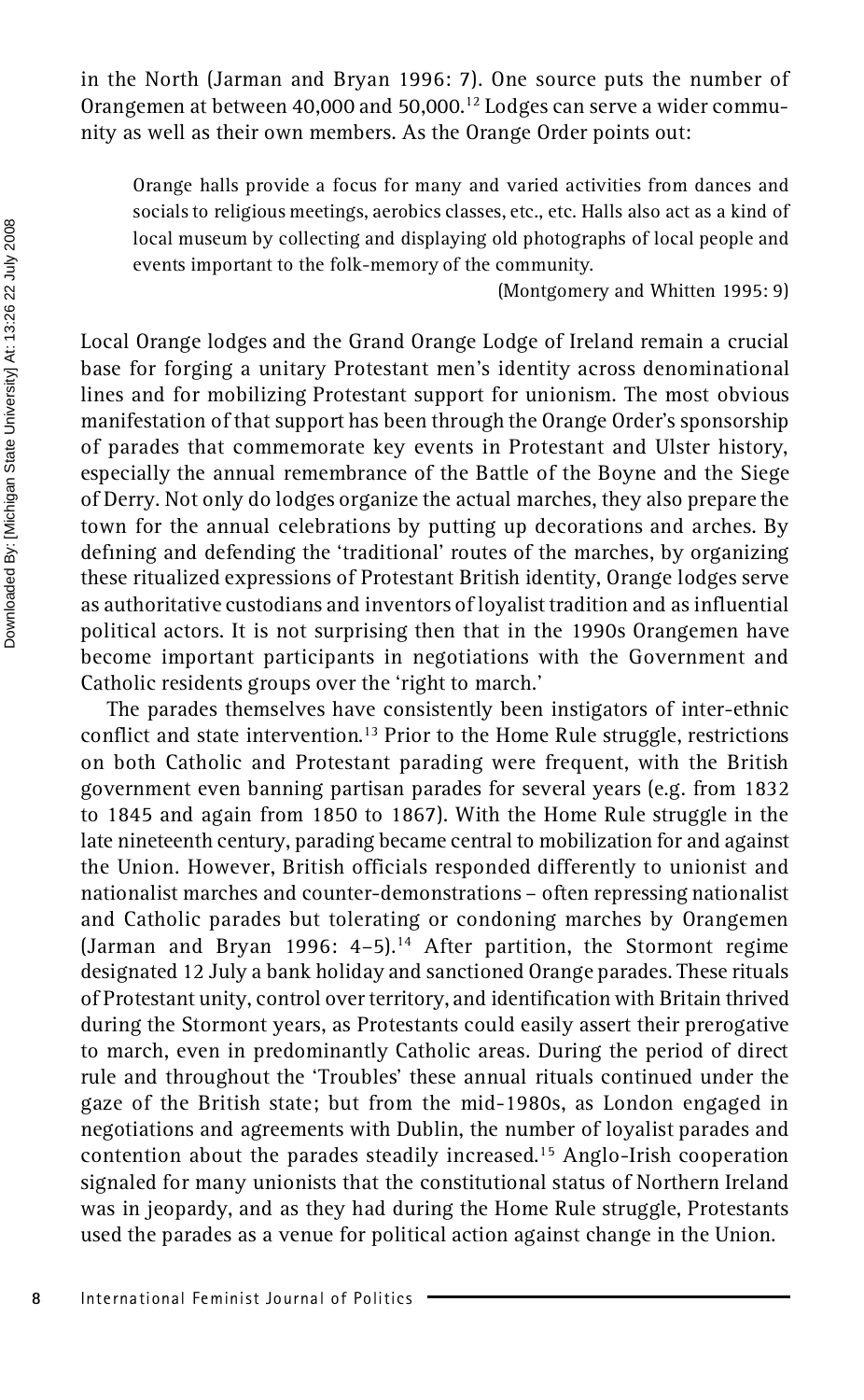in the North (Jarman and Bryan 1996: 7). One source puts the number of Orangemen at between 40,000 and 50,000.<sup>12</sup> Lodges can serve a wider commu nity as well as their own members. As the Orange Order points out:

Orange halls provide a focus for many and varied activities from dances and socials to religious meetings, aerobics classes, etc., etc. Halls also act as a kind of local museum by collecting and displaying old photographs of local people and events important to the folk-memory of the community.

(Montgomery and Whitten 1995: 9)

Local Orange lodges and the Grand Orange Lodge of Ireland remain a crucial base for forging a unitary Protestant men's identity across denominational lines and for mobilizing Protestant support for unionism. The most obvious manifestation of that support has been through the Orange Order's sponsorship of parades that commemorate key events in Protestant and Ulster history, especially the annual remembrance of the Battle of the Boyne and the Siege of Derry. Not only do lodges organize the actual marches, they also prepare the town for the annual celebrations by putting up decorations and arches. By defining and defending the 'traditional' routes of the marches, by organizing these ritualized expressions of Protestant British identity, Orange lodges serve as authoritative custodians and inventors of loyalist tradition and as influential political actors. It is not surprising then that in the 1990s Orangemen have become important participants in negotiations with the Government and Catholic residents groups over the 'right to march.'

The parades themselves have consistently been instigators of inter-ethnic conflict and state intervention.<sup>13</sup> Prior to the Home Rule struggle, restrictions on both Catholic and Protestant parading were frequent, with the British government even banning partisan parades for several years (e.g. from 1832 to 1845 and again from 1850 to 1867). With the Home Rule struggle in the late nineteenth century, parading became central to mobilization for and against the Union. However, British officials responded differently to unionist and nationalist marches and counter-demonstrations – often repressing nationalist and Catholic parades but tolerating or condoning marches by Orangemen (Jarman and Bryan 1996: 4-5).<sup>14</sup> After partition, the Stormont regime designated 12 July a bank holiday and sanctioned Orange parades. These rituals of Protestant unity, control over territory, and identification with Britain thrived during the Stormont years, as Protestants could easily assert their prerogative to march, even in predominantly Catholic areas. During the period of direct rule and throughout the 'Troubles' these annual rituals continued under the gaze of the British state; but from the mid-1980s, as London engaged in negotiations and agreements with Dublin, the number of loyalist parades and contention about the parades steadily increased.<sup>15</sup> Anglo-Irish cooperation signaled for many unionists that the constitutional status of Northern Ireland was in jeopardy, and as they had during the Home Rule struggle, Protestants used the parades as a venue for political action against change in the Union.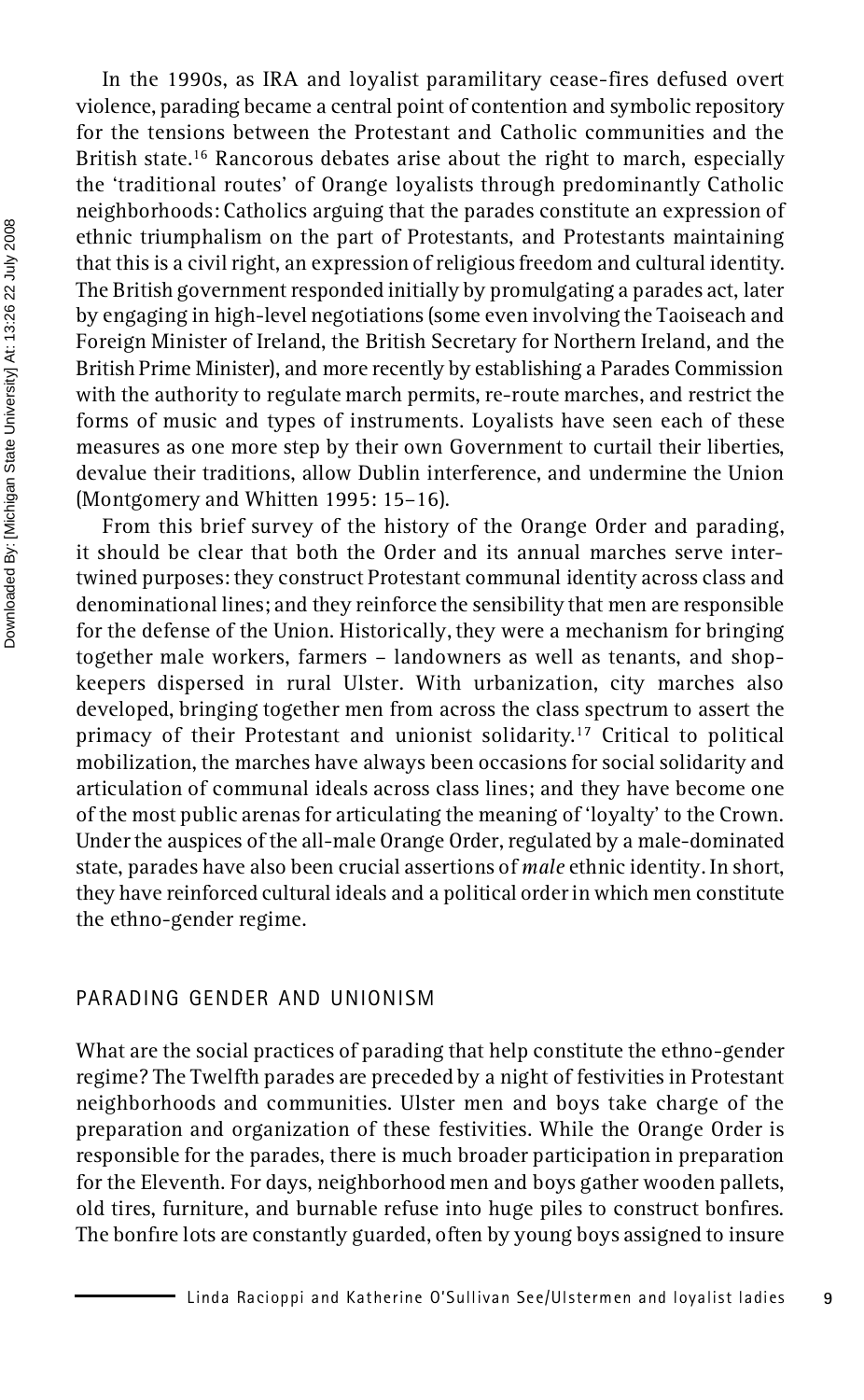In the 1990s, as IRA and loyalist paramilitary cease-fires defused overt violence, parading became a central point of contention and symbolic repository for the tensions between the Protestant and Catholic communities and the British state.<sup>16</sup> Rancorous debates arise about the right to march, especially the 'traditional routes' of Orange loyalists through predominantly Catholic neighborhoods: Catholics arguing that the parades constitute an expression of ethnic triumphalism on the part of Protestants, and Protestants maintaining that this is a civil right, an expression of religious freedom and cultural identity. The British government responded initially by promulgating a parades act, later by engaging in high-level negotiations (some even involving the Taoiseach and Foreign Minister of Ireland, the British Secretary for Northern Ireland, and the British Prime Minister), and more recently by establishing a Parades Commission with the authority to regulate march permits, re-route marches, and restrict the forms of music and types of instruments. Loyalists have seen each of these measures as one more step by their own Government to curtail their liberties, devalue their traditions, allow Dublin interference, and undermine the Union (Montgomery and Whitten 1995: 15–16).

From this brief survey of the history of the Orange Order and parading, it should be clear that both the Order and its annual marches serve intertwined purposes: they construct Protestant communal identity across class and denominational lines; and they reinforce the sensibility that men are responsible for the defense of the Union. Historically, they were a mechanism for bringing together male workers, farmers – landowners as well as tenants, and shop keepers dispersed in rural Ulster. With urbanization, city marches also developed, bringing together men from across the class spectrum to assert the primacy of their Protestant and unionist solidarity.<sup>17</sup> Critical to political mobilization, the marches have always been occasions for social solidarity and articulation of communal ideals across class lines; and they have become one of the most public arenas for articulating the meaning of 'loyalty' to the Crown. Under the auspices of the all-male Orange Order, regulated by a male-dominated state, parades have also been crucial assertions of *male* ethnic identity. In short, they have reinforced cultural ideals and a political order in which men constitute the ethno-gender regime.

#### PARADING GENDER AND UNIONISM

What are the social practices of parading that help constitute the ethno-gender regime? The Twelfth parades are preceded by a night of festivities in Protestant neighborhoods and communities. Ulster men and boys take charge of the preparation and organization of these festivities. While the Orange Order is responsible for the parades, there is much broader participation in preparation for the Eleventh. For days, neighborhood men and boys gather wooden pallets, old tires, furniture, and burnable refuse into huge piles to construct bonres. The bonfire lots are constantly guarded, often by young boys assigned to insure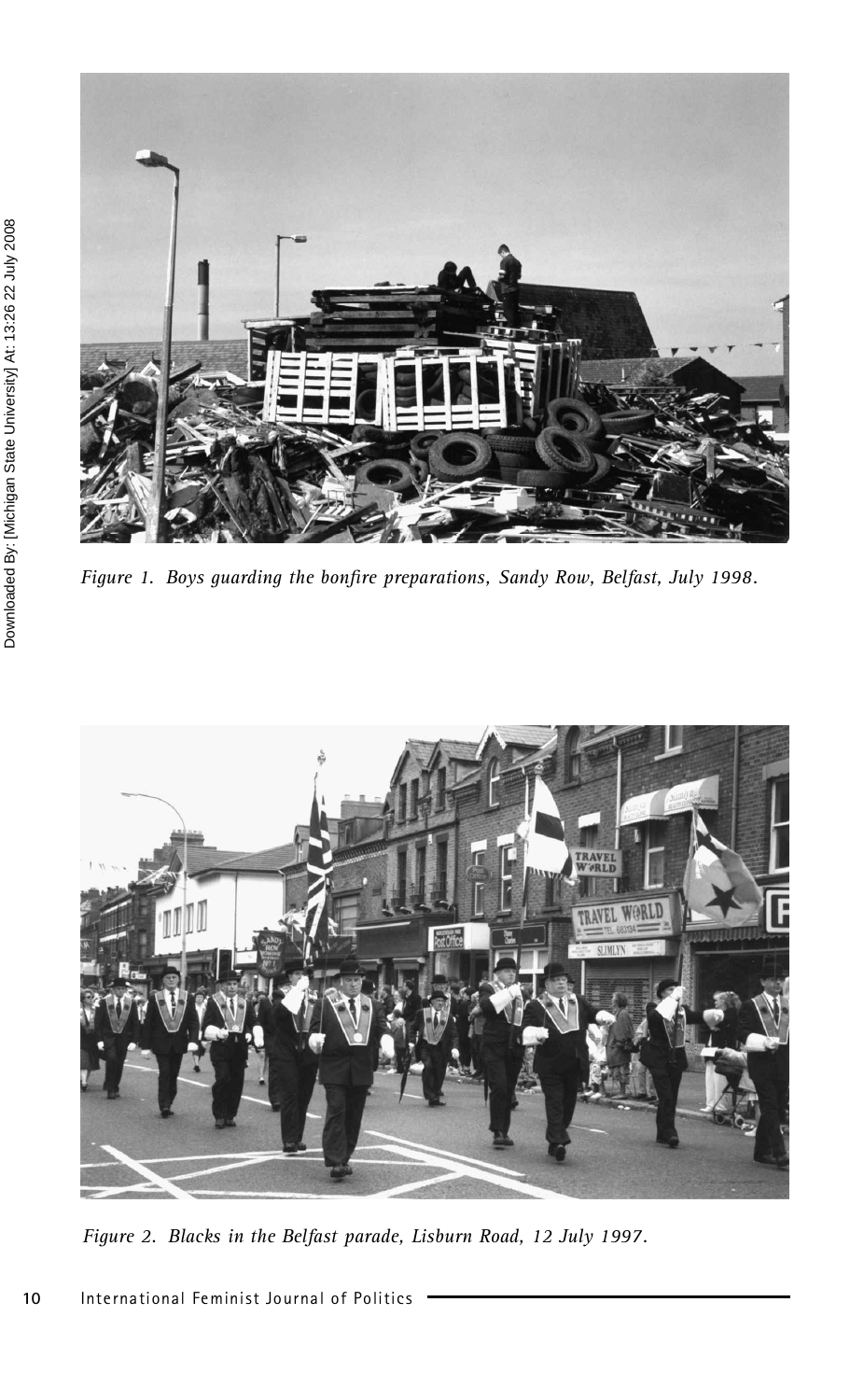

Figure 1. Boys guarding the bonfire preparations, Sandy Row, Belfast, July 1998.



*Figure 2. Blacks in the Belfast parade, Lisburn Road, 12 July 1997.*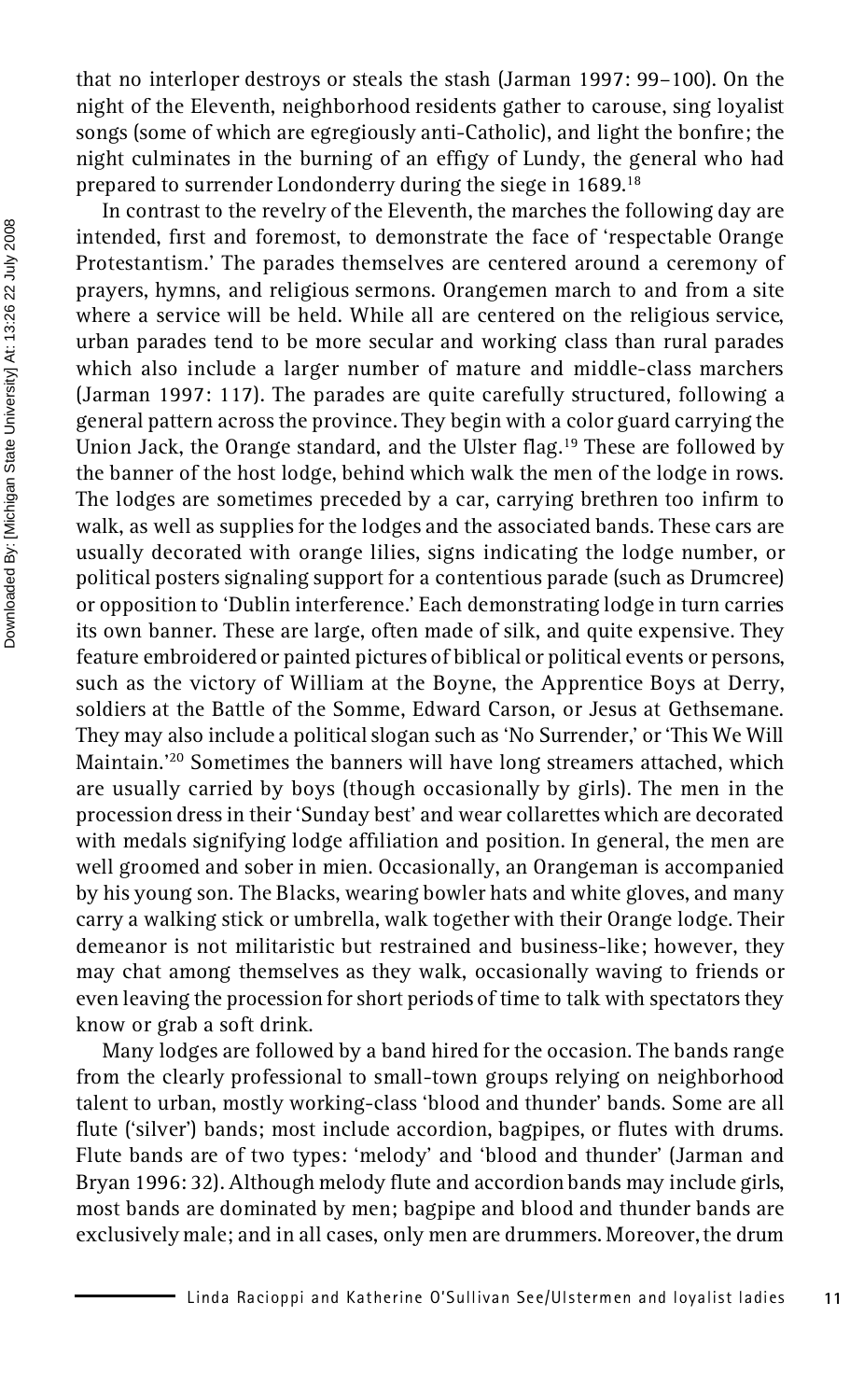that no interloper destroys or steals the stash (Jarman 1997: 99–100). On the night of the Eleventh, neighborhood residents gather to carouse, sing loyalist songs (some of which are egregiously anti-Catholic), and light the bonfire; the night culminates in the burning of an effigy of Lundy, the general who had prepared to surrender Londonderry during the siege in 1689.<sup>18</sup>

In contrast to the revelry of the Eleventh, the marches the following day are intended, first and foremost, to demonstrate the face of 'respectable Orange Protestantism.' The parades themselves are centered around a ceremony of prayers, hymns, and religious sermons. Orangemen march to and from a site where a service will be held. While all are centered on the religious service, urban parades tend to be more secular and working class than rural parades which also include a larger number of mature and middle-class marchers (Jarman 1997: 117). The parades are quite carefully structured, following a general pattern across the province. They begin with a color guard carrying the Union Jack, the Orange standard, and the Ulster flag.<sup>19</sup> These are followed by the banner of the host lodge, behind which walk the men of the lodge in rows. The lodges are sometimes preceded by a car, carrying brethren too infirm to walk, as well as supplies for the lodges and the associated bands. These cars are usually decorated with orange lilies, signs indicating the lodge number, or political posters signaling support for a contentious parade (such as Drumcree) or opposition to 'Dublin interference.' Each demonstrating lodge in turn carries its own banner. These are large, often made of silk, and quite expensive. They feature embroidered or painted pictures of biblical or political events or persons, such as the victory of William at the Boyne, the Apprentice Boys at Derry, soldiers at the Battle of the Somme, Edward Carson, or Jesus at Gethsemane. They may also include a political slogan such as 'No Surrender,' or 'This We Will Maintain.'<sup>20</sup> Sometimes the banners will have long streamers attached, which are usually carried by boys (though occasionally by girls). The men in the procession dress in their 'Sunday best' and wear collarettes which are decorated with medals signifying lodge afliation and position. In general, the men are well groomed and sober in mien. Occasionally, an Orangeman is accompanied by his young son. The Blacks, wearing bowler hats and white gloves, and many carry a walking stick or umbrella, walk together with their Orange lodge. Their demeanor is not militaristic but restrained and business-like; however, they may chat among themselves as they walk, occasionally waving to friends or even leaving the procession for short periods of time to talk with spectators they know or grab a soft drink.

Many lodges are followed by a band hired for the occasion. The bands range from the clearly professional to small-town groups relying on neighborhood talent to urban, mostly working-class 'blood and thunder' bands. Some are all flute ('silver') bands; most include accordion, bagpipes, or flutes with drums. Flute bands are of two types: 'melody' and 'blood and thunder' (Jarman and Bryan 1996: 32). Although melody flute and accordion bands may include girls, most bands are dominated by men; bagpipe and blood and thunder bands are exclusively male; and in all cases, only men are drummers. Moreover, the drum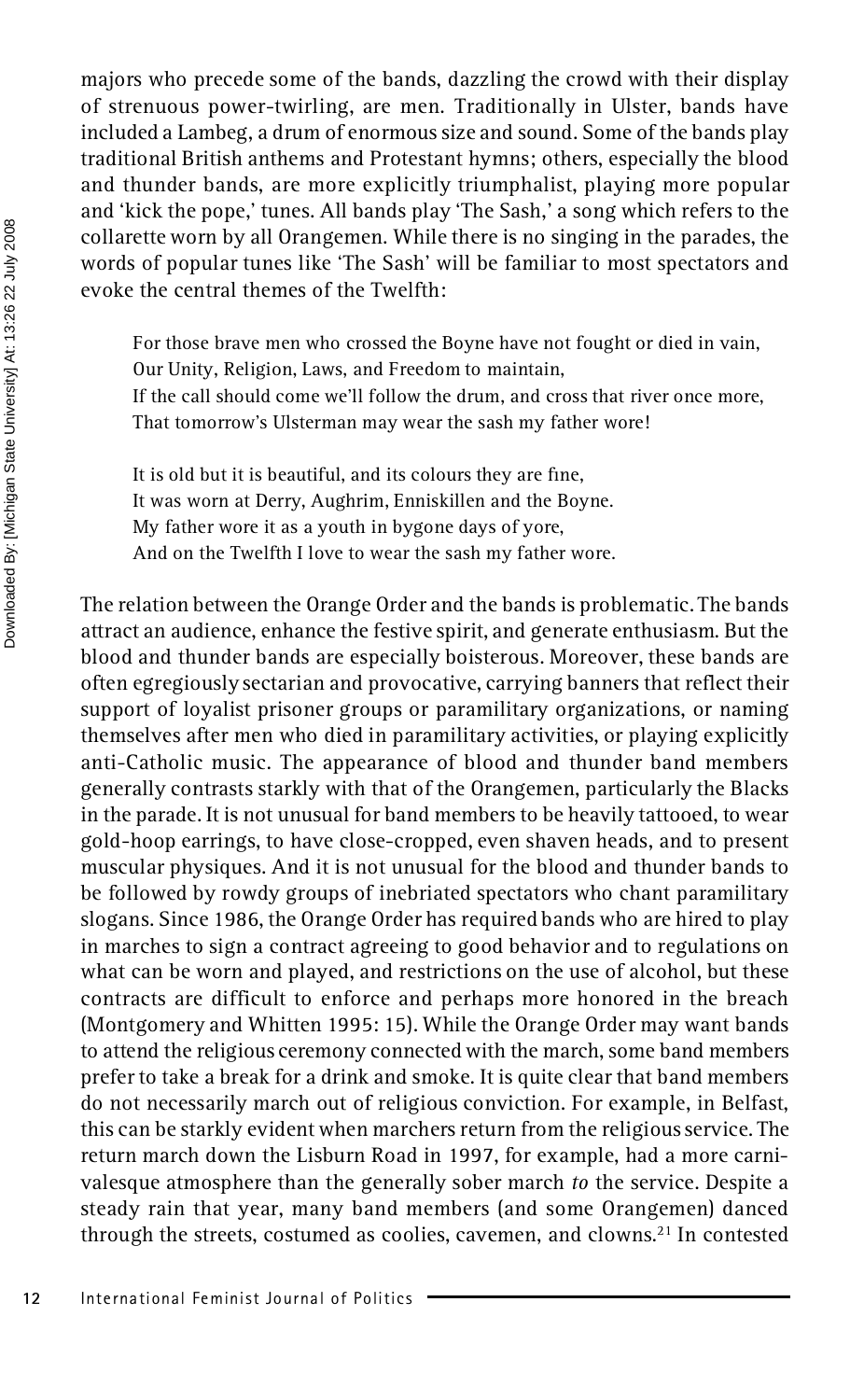majors who precede some of the bands, dazzling the crowd with their display of strenuous power-twirling, are men. Traditionally in Ulster, bands have included a Lambeg, a drum of enormous size and sound. Some of the bands play traditional British anthems and Protestant hymns; others, especially the blood and thunder bands, are more explicitly triumphalist, playing more popular and 'kick the pope,' tunes. All bands play 'The Sash,' a song which refers to the collarette worn by all Orangemen. While there is no singing in the parades, the words of popular tunes like 'The Sash' will be familiar to most spectators and evoke the central themes of the Twelfth:

For those brave men who crossed the Boyne have not fought or died in vain, Our Unity, Religion, Laws, and Freedom to maintain, If the call should come we'll follow the drum, and cross that river once more, That tomorrow's Ulsterman may wear the sash my father wore!

It is old but it is beautiful, and its colours they are fine, It was worn at Derry, Aughrim, Enniskillen and the Boyne. My father wore it as a youth in bygone days of yore, And on the Twelfth I love to wear the sash my father wore.

The relation between the Orange Order and the bands is problematic. The bands attract an audience, enhance the festive spirit, and generate enthusiasm. But the blood and thunder bands are especially boisterous. Moreover, these bands are often egregiously sectarian and provocative, carrying banners that reflect their support of loyalist prisoner groups or paramilitary organizations, or naming themselves after men who died in paramilitary activities, or playing explicitly anti-Catholic music. The appearance of blood and thunder band members generally contrasts starkly with that of the Orangemen, particularly the Blacks in the parade. It is not unusual for band members to be heavily tattooed, to wear gold-hoop earrings, to have close-cropped, even shaven heads, and to present muscular physiques. And it is not unusual for the blood and thunder bands to be followed by rowdy groups of inebriated spectators who chant paramilitary slogans. Since 1986, the Orange Order has required bands who are hired to play in marches to sign a contract agreeing to good behavior and to regulations on what can be worn and played, and restrictions on the use of alcohol, but these contracts are difficult to enforce and perhaps more honored in the breach (Montgomery and Whitten 1995: 15). While the Orange Order may want bands to attend the religious ceremony connected with the march, some band members prefer to take a break for a drink and smoke. It is quite clear that band members do not necessarily march out of religious conviction. For example, in Belfast, this can be starkly evident when marchers return from the religious service. The return march down the Lisburn Road in 1997, for example, had a more carni valesque atmosphere than the generally sober march *to* the service. Despite a steady rain that year, many band members (and some Orangemen) danced through the streets, costumed as coolies, cavemen, and clowns.<sup>21</sup> In contested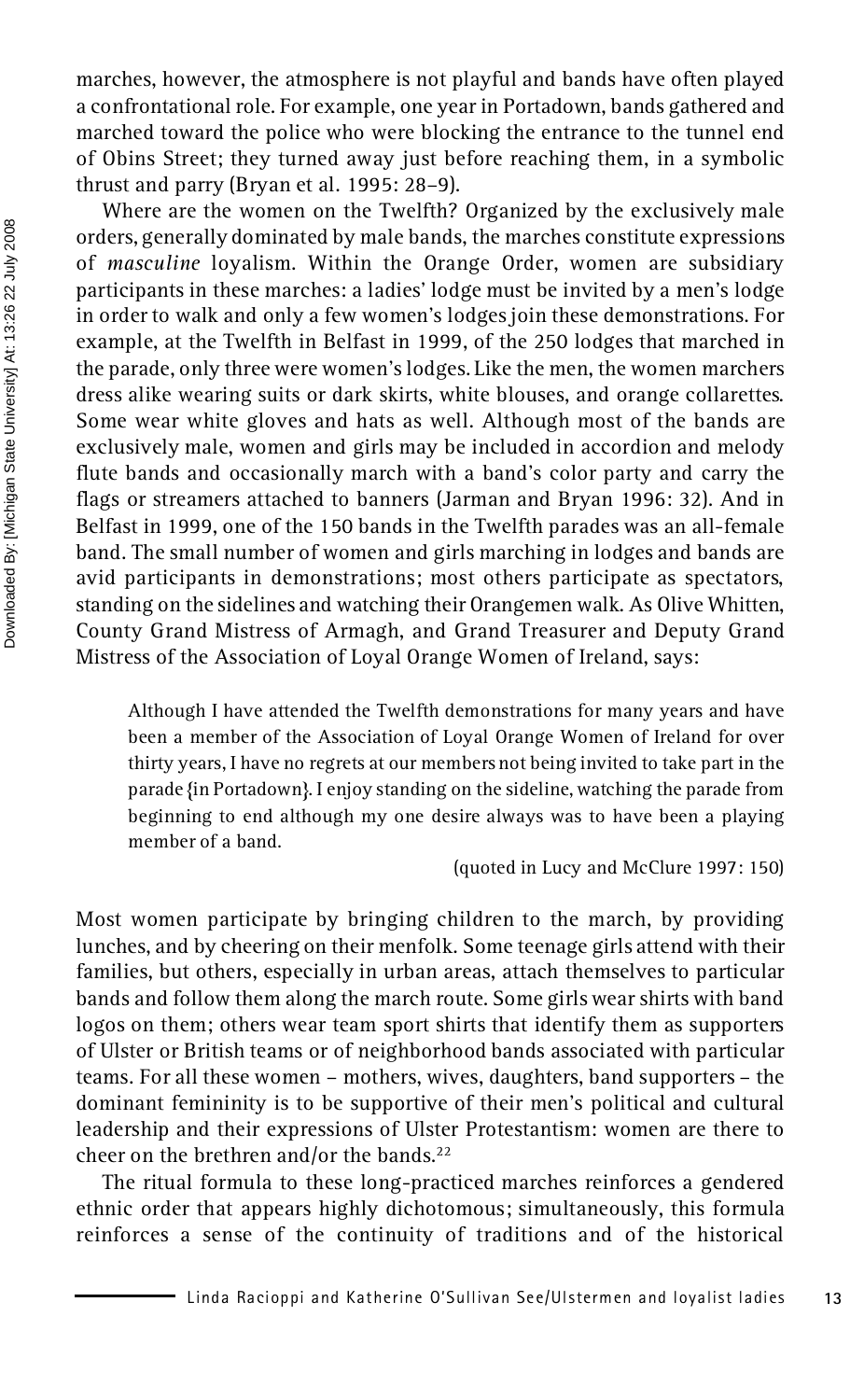marches, however, the atmosphere is not playful and bands have often played a confrontational role. For example, one year in Portadown, bands gathered and marched toward the police who were blocking the entrance to the tunnel end of Obins Street; they turned away just before reaching them, in a symbolic thrust and parry (Bryan et al. 1995: 28–9).

Where are the women on the Twelfth? Organized by the exclusively male orders, generally dominated by male bands, the marches constitute expressions of *masculine* loyalism. Within the Orange Order, women are subsidiary participants in these marches: a ladies' lodge must be invited by a men's lodge in order to walk and only a few women's lodges join these demonstrations. For example, at the Twelfth in Belfast in 1999, of the 250 lodges that marched in the parade, only three were women's lodges. Like the men, the women marchers dress alike wearing suits or dark skirts, white blouses, and orange collarettes. Some wear white gloves and hats as well. Although most of the bands are exclusively male, women and girls may be included in accordion and melody flute bands and occasionally march with a band's color party and carry the flags or streamers attached to banners (Jarman and Bryan 1996: 32). And in Belfast in 1999, one of the 150 bands in the Twelfth parades was an all-female band. The small number of women and girls marching in lodges and bands are avid participants in demonstrations; most others participate as spectators, standing on the sidelines and watching their Orangemen walk. As Olive Whitten, County Grand Mistress of Armagh, and Grand Treasurer and Deputy Grand Mistress of the Association of Loyal Orange Women of Ireland, says:

Although I have attended the Twelfth demonstrations for many years and have been a member of the Association of Loyal Orange Women of Ireland for over thirty years, I have no regrets at our members not being invited to take part in the parade {in Portadown}. I enjoy standing on the sideline, watching the parade from beginning to end although my one desire always was to have been a playing member of a band.

(quoted in Lucy and McClure 1997: 150)

Most women participate by bringing children to the march, by providing lunches, and by cheering on their menfolk. Some teenage girls attend with their families, but others, especially in urban areas, attach themselves to particular bands and follow them along the march route. Some girls wear shirts with band logos on them; others wear team sport shirts that identify them as supporters of Ulster or British teams or of neighborhood bands associated with particular teams. For all these women – mothers, wives, daughters, band supporters – the dominant femininity is to be supportive of their men's political and cultural leadership and their expressions of Ulster Protestantism: women are there to cheer on the brethren and/or the bands.<sup>22</sup>

The ritual formula to these long-practiced marches reinforces a gendered ethnic order that appears highly dichotomous; simultaneously, this formula reinforces a sense of the continuity of traditions and of the historical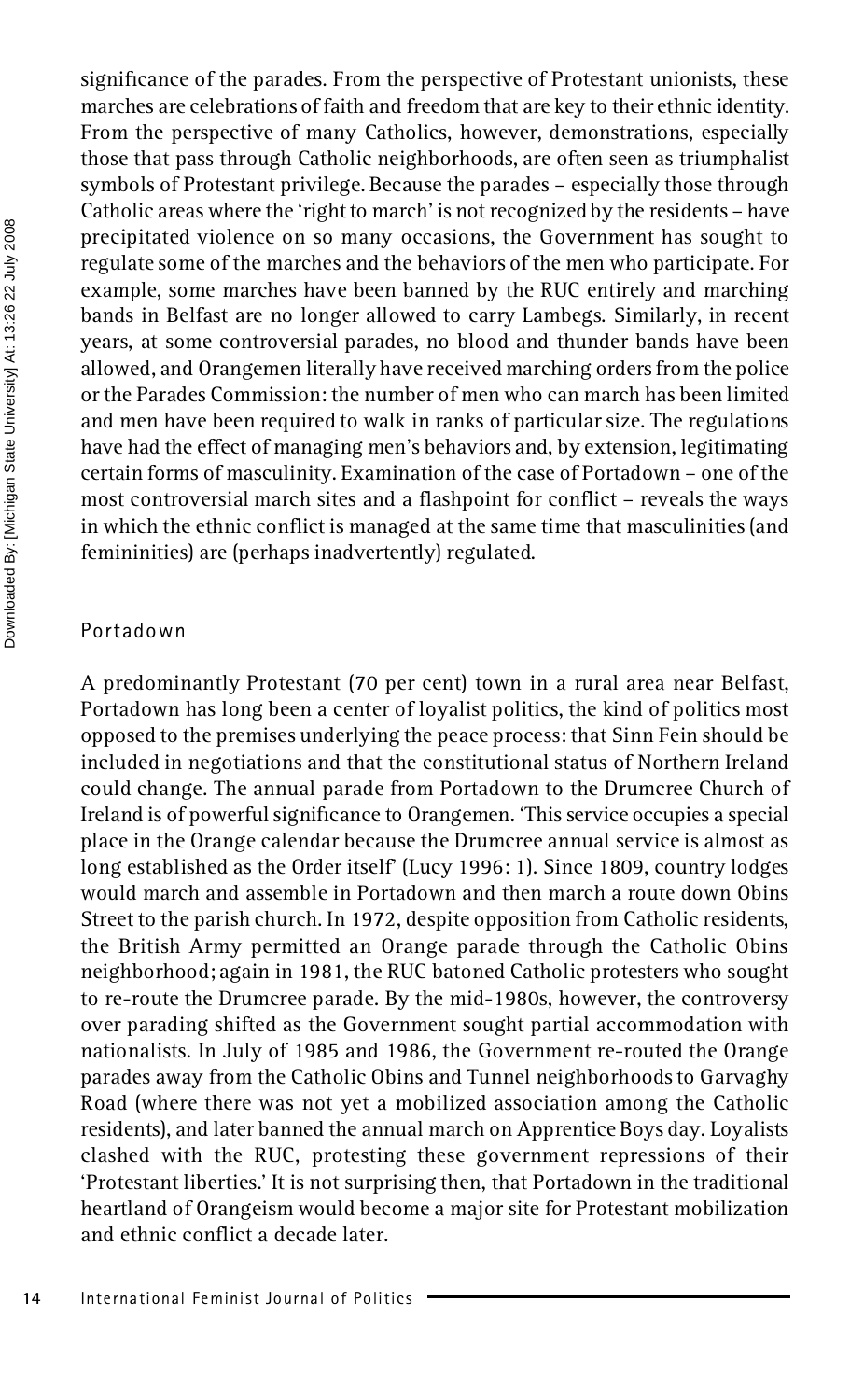Downloaded By: [Michigan State University] At: 13:26 22 July 2008 Downloaded By: [Michigan State University] At: 13:26 22 July 2008

# significance of the parades. From the perspective of Protestant unionists, these marches are celebrations of faith and freedom that are key to their ethnic identity. From the perspective of many Catholics, however, demonstrations, especially those that pass through Catholic neighborhoods, are often seen as triumphalist symbols of Protestant privilege. Because the parades – especially those through Catholic areas where the 'right to march' is not recognized by the residents – have precipitated violence on so many occasions, the Government has sought to regulate some of the marches and the behaviors of the men who participate. For example, some marches have been banned by the RUC entirely and marching bands in Belfast are no longer allowed to carry Lambegs. Similarly, in recent years, at some controversial parades, no blood and thunder bands have been allowed, and Orangemen literally have received marching orders from the police or the Parades Commission: the number of men who can march has been limited and men have been required to walk in ranks of particular size. The regulations have had the effect of managing men's behaviors and, by extension, legitimating certain forms of masculinity. Examination of the case of Portadown – one of the most controversial march sites and a flashpoint for conflict – reveals the ways in which the ethnic conflict is managed at the same time that masculinities (and femininities) are (perhaps inadvertently) regulated.

#### Portadown

A predominantly Protestant (70 per cent) town in a rural area near Belfast, Portadown has long been a center of loyalist politics, the kind of politics most opposed to the premises underlying the peace process: that Sinn Fein should be included in negotiations and that the constitutional status of Northern Ireland could change. The annual parade from Portadown to the Drumcree Church of Ireland is of powerful significance to Orangemen. 'This service occupies a special place in the Orange calendar because the Drumcree annual service is almost as long established as the Order itself' (Lucy 1996: 1). Since 1809, country lodges would march and assemble in Portadown and then march a route down Obins Street to the parish church. In 1972, despite opposition from Catholic residents, the British Army permitted an Orange parade through the Catholic Obins neighborhood; again in 1981, the RUC batoned Catholic protesters who sought to re-route the Drumcree parade. By the mid-1980s, however, the controversy over parading shifted as the Government sought partial accommodation with nationalists. In July of 1985 and 1986, the Government re-routed the Orange parades away from the Catholic Obins and Tunnel neighborhoods to Garvaghy Road (where there was not yet a mobilized association among the Catholic residents), and later banned the annual march on Apprentice Boys day. Loyalists clashed with the RUC, protesting these government repressions of their 'Protestant liberties.' It is not surprising then, that Portadown in the traditional heartland of Orangeism would become a major site for Protestant mobilization and ethnic conflict a decade later.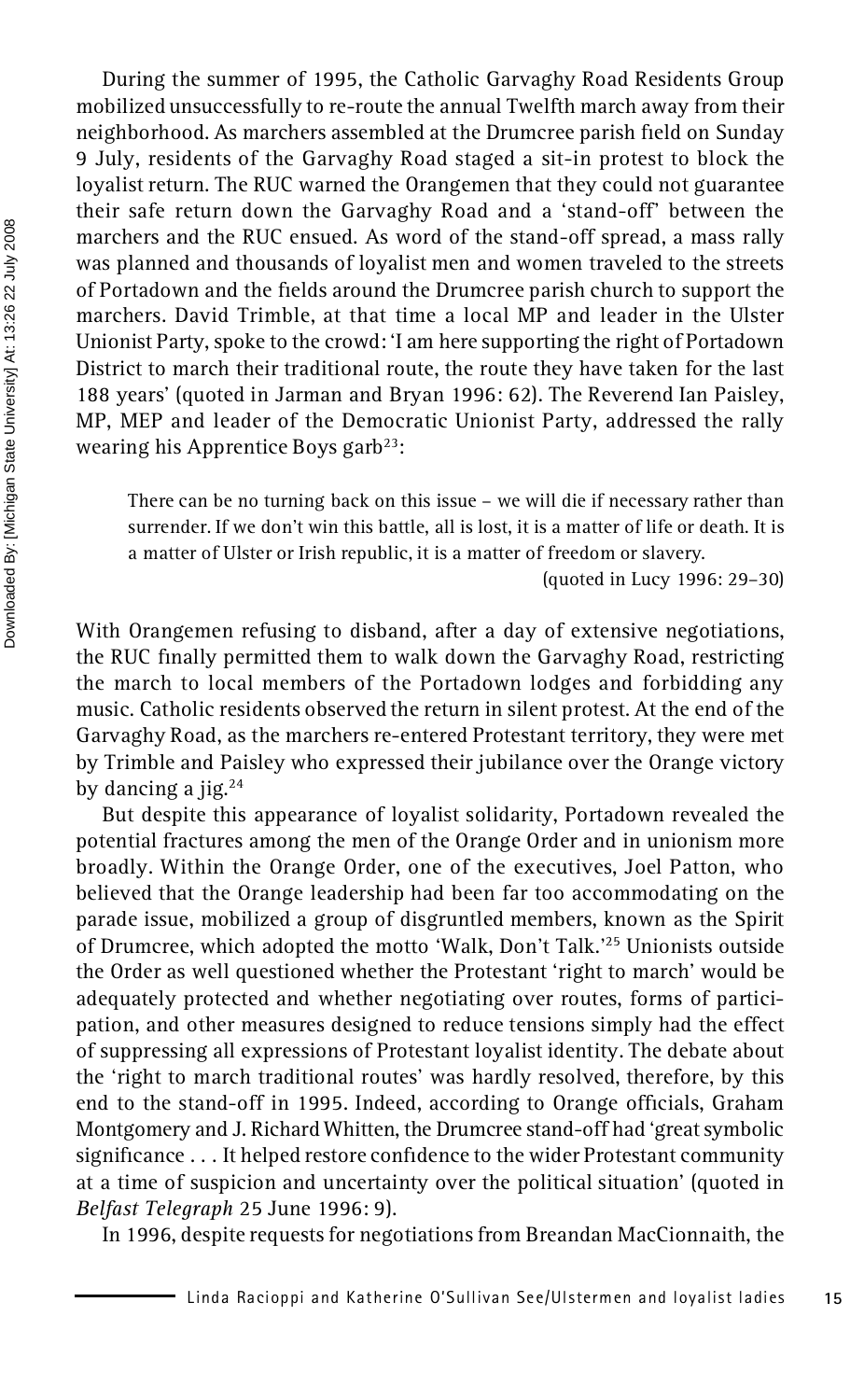During the summer of 1995, the Catholic Garvaghy Road Residents Group mobilized unsuccessfully to re-route the annual Twelfth march away from their neighborhood. As marchers assembled at the Drumcree parish field on Sunday 9 July, residents of the Garvaghy Road staged a sit-in protest to block the loyalist return. The RUC warned the Orangemen that they could not guarantee their safe return down the Garvaghy Road and a 'stand-off' between the marchers and the RUC ensued. As word of the stand-off spread, a mass rally was planned and thousands of loyalist men and women traveled to the streets of Portadown and the fields around the Drumcree parish church to support the marchers. David Trimble, at that time a local MP and leader in the Ulster Unionist Party, spoke to the crowd: 'I am here supporting the right of Portadown District to march their traditional route, the route they have taken for the last 188 years' (quoted in Jarman and Bryan 1996: 62). The Reverend Ian Paisley, MP, MEP and leader of the Democratic Unionist Party, addressed the rally wearing his Apprentice Boys garb <sup>23</sup>:

There can be no turning back on this issue – we will die if necessary rather than surrender. If we don't win this battle, all is lost, it is a matter of life or death. It is a matter of Ulster or Irish republic, it is a matter of freedom or slavery.

(quoted in Lucy 1996: 29–30)

With Orangemen refusing to disband, after a day of extensive negotiations, the RUC finally permitted them to walk down the Garvaghy Road, restricting the march to local members of the Portadown lodges and forbidding any music. Catholic residents observed the return in silent protest. At the end of the Garvaghy Road, as the marchers re-entered Protestant territory, they were met by Trimble and Paisley who expressed their jubilance over the Orange victory by dancing a jig.<sup>24</sup>

But despite this appearance of loyalist solidarity, Portadown revealed the potential fractures among the men of the Orange Order and in unionism more broadly. Within the Orange Order, one of the executives, Joel Patton, who believed that the Orange leadership had been far too accommodating on the parade issue, mobilized a group of disgruntled members, known as the Spirit of Drumcree, which adopted the motto 'Walk, Don't Talk.'<sup>25</sup> Unionists outside the Order as well questioned whether the Protestant 'right to march' would be adequately protected and whether negotiating over routes, forms of partici pation, and other measures designed to reduce tensions simply had the effect of suppressing all expressions of Protestant loyalist identity. The debate about the 'right to march traditional routes' was hardly resolved, therefore, by this end to the stand-off in 1995. Indeed, according to Orange officials, Graham Montgomery and J. Richard Whitten, the Drumcree stand-off had 'great symbolic significance . . . It helped restore confidence to the wider Protestant community at a time of suspicion and uncertainty over the political situation' (quoted in *Belfast Telegraph* 25 June 1996: 9).

In 1996, despite requests for negotiations from Breandan MacCionnaith, the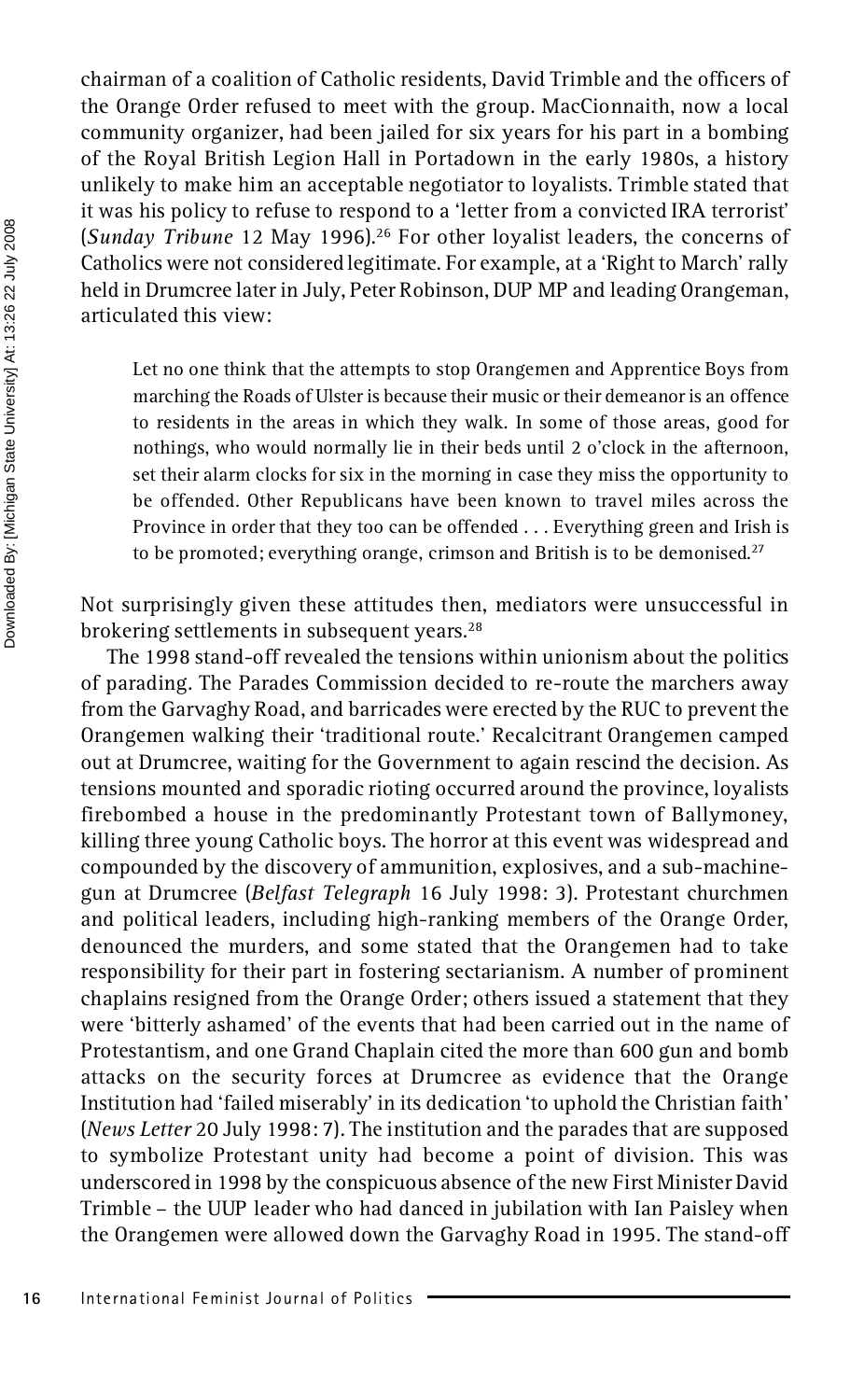chairman of a coalition of Catholic residents, David Trimble and the officers of the Orange Order refused to meet with the group. MacCionnaith, now a local community organizer, had been jailed for six years for his part in a bombing of the Royal British Legion Hall in Portadown in the early 1980s, a history unlikely to make him an acceptable negotiator to loyalists. Trimble stated that it was his policy to refuse to respond to a 'letter from a convicted IRA terrorist' (*Sunday Tribune* 12 May 1996).<sup>26</sup> For other loyalist leaders, the concerns of Catholics were not considered legitimate. For example, at a 'Right to March' rally held in Drumcree later in July, Peter Robinson, DUP MP and leading Orangeman, articulated this view:

Let no one think that the attempts to stop Orangemen and Apprentice Boys from marching the Roads of Ulster is because their music or their demeanor is an offence to residents in the areas in which they walk. In some of those areas, good for nothings, who would normally lie in their beds until 2 o'clock in the afternoon, set their alarm clocks for six in the morning in case they miss the opportunity to be offended. Other Republicans have been known to travel miles across the Province in order that they too can be offended . . . Everything green and Irish is to be promoted; everything orange, crimson and British is to be demonised.<sup>27</sup>

Not surprisingly given these attitudes then, mediators were unsuccessful in brokering settlements in subsequent years.<sup>28</sup>

The 1998 stand-off revealed the tensions within unionism about the politics of parading. The Parades Commission decided to re-route the marchers away from the Garvaghy Road, and barricades were erected by the RUC to prevent the Orangemen walking their 'traditional route.' Recalcitrant Orangemen camped out at Drumcree, waiting for the Government to again rescind the decision. As tensions mounted and sporadic rioting occurred around the province, loyalists firebombed a house in the predominantly Protestant town of Ballymoney, killing three young Catholic boys. The horror at this event was widespread and compounded by the discovery of ammunition, explosives, and a sub-machine gun at Drumcree (*Belfast Telegraph* 16 July 1998: 3). Protestant churchmen and political leaders, including high-ranking members of the Orange Order, denounced the murders, and some stated that the Orangemen had to take responsibility for their part in fostering sectarianism. A number of prominent chaplains resigned from the Orange Order; others issued a statement that they were 'bitterly ashamed' of the events that had been carried out in the name of Protestantism, and one Grand Chaplain cited the more than 600 gun and bomb attacks on the security forces at Drumcree as evidence that the Orange Institution had 'failed miserably' in its dedication 'to uphold the Christian faith' (*News Letter* 20 July 1998: 7). The institution and the parades that are supposed to symbolize Protestant unity had become a point of division. This was underscored in 1998 by the conspicuous absence of the new First Minister David Trimble – the UUP leader who had danced in jubilation with Ian Paisley when the Orangemen were allowed down the Garvaghy Road in 1995. The stand-off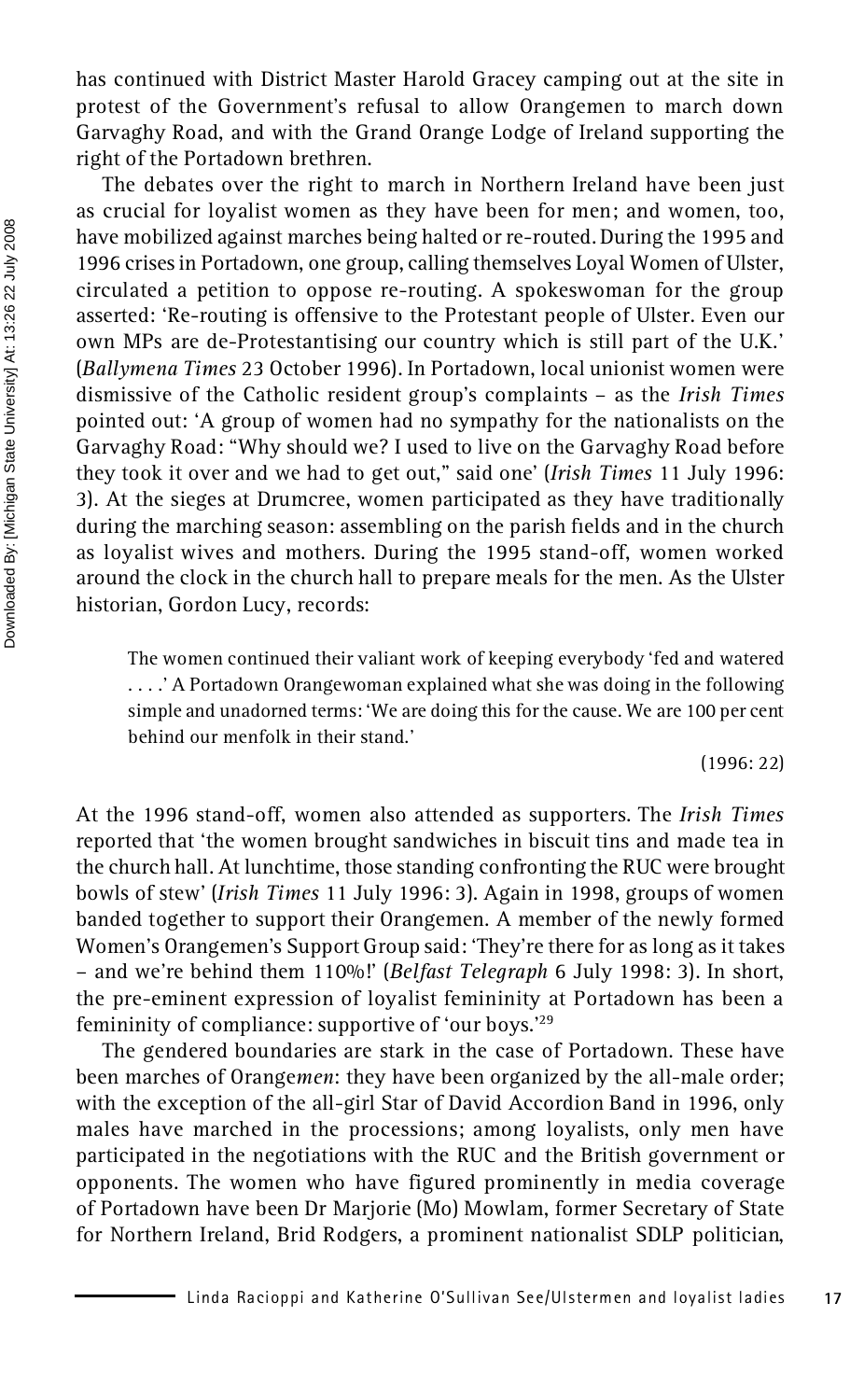has continued with District Master Harold Gracey camping out at the site in protest of the Government's refusal to allow Orangemen to march down Garvaghy Road, and with the Grand Orange Lodge of Ireland supporting the right of the Portadown brethren.

The debates over the right to march in Northern Ireland have been just as crucial for loyalist women as they have been for men; and women, too, have mobilized against marches being halted or re-routed. During the 1995 and 1996 crises in Portadown, one group, calling themselves Loyal Women of Ulster, circulated a petition to oppose re-routing. A spokeswoman for the group asserted: 'Re-routing is offensive to the Protestant people of Ulster. Even our own MPs are de-Protestantising our country which is still part of the U.K.' (*Ballymena Times* 23 October 1996). In Portadown, local unionist women were dismissive of the Catholic resident group's complaints – as the *Irish Times* pointed out: 'A group of women had no sympathy for the nationalists on the Garvaghy Road: "Why should we? I used to live on the Garvaghy Road before they took it over and we had to get out," said one' (*Irish Times* 11 July 1996: 3). At the sieges at Drumcree, women participated as they have traditionally during the marching season: assembling on the parish fields and in the church as loyalist wives and mothers. During the 1995 stand-off, women worked around the clock in the church hall to prepare meals for the men. As the Ulster historian, Gordon Lucy, records:

The women continued their valiant work of keeping everybody 'fed and watered . . . .' A Portadown Orangewoman explained what she was doing in the following simple and unadorned terms: 'We are doing this for the cause. We are 100 per cent behind our menfolk in their stand.'

(1996: 22)

At the 1996 stand-off, women also attended as supporters. The *Irish Times* reported that 'the women brought sandwiches in biscuit tins and made tea in the church hall. At lunchtime, those standing confronting the RUC were brought bowls of stew' (*Irish Times* 11 July 1996: 3). Again in 1998, groups of women banded together to support their Orangemen. A member of the newly formed Women's Orangemen's Support Group said: 'They're there for as long as it takes – and we're behind them 110%!' (*Belfast Telegraph* 6 July 1998: 3). In short, the pre-eminent expression of loyalist femininity at Portadown has been a femininity of compliance: supportive of 'our boys.'<sup>29</sup>

The gendered boundaries are stark in the case of Portadown. These have been marches of Orange*men*: they have been organized by the all-male order; with the exception of the all-girl Star of David Accordion Band in 1996, only males have marched in the processions; among loyalists, only men have participated in the negotiations with the RUC and the British government or opponents. The women who have figured prominently in media coverage of Portadown have been Dr Marjorie (Mo) Mowlam, former Secretary of State for Northern Ireland, Brid Rodgers, a prominent nationalist SDLP politician,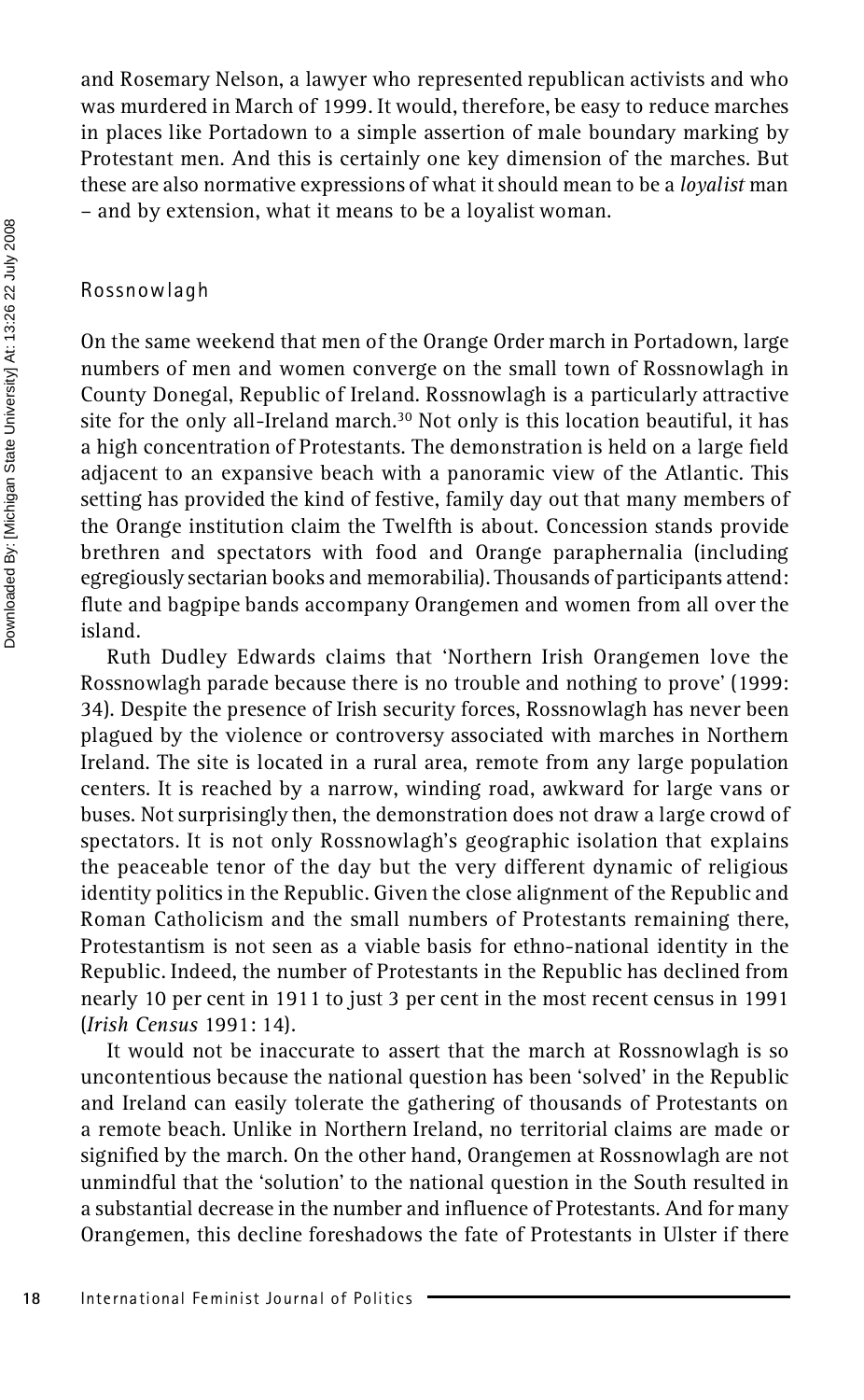and Rosemary Nelson, a lawyer who represented republican activists and who was murdered in March of 1999. It would, therefore, be easy to reduce marches in places like Portadown to a simple assertion of male boundary marking by Protestant men. And this is certainly one key dimension of the marches. But these are also normative expressions of what it should mean to be a *loyalist* man – and by extension, what it means to be a loyalist woman.

#### Rossnowlagh

On the same weekend that men of the Orange Order march in Portadown, large numbers of men and women converge on the small town of Rossnowlagh in County Donegal, Republic of Ireland. Rossnowlagh is a particularly attractive site for the only all-Ireland march.<sup>30</sup> Not only is this location beautiful, it has a high concentration of Protestants. The demonstration is held on a large field adjacent to an expansive beach with a panoramic view of the Atlantic. This setting has provided the kind of festive, family day out that many members of the Orange institution claim the Twelfth is about. Concession stands provide brethren and spectators with food and Orange paraphernalia (including egregiously sectarian books and memorabilia). Thousands of participants attend: flute and bagpipe bands accompany Orangemen and women from all over the island.

Ruth Dudley Edwards claims that 'Northern Irish Orangemen love the Rossnowlagh parade because there is no trouble and nothing to prove' (1999: 34). Despite the presence of Irish security forces, Rossnowlagh has never been plagued by the violence or controversy associated with marches in Northern Ireland. The site is located in a rural area, remote from any large population centers. It is reached by a narrow, winding road, awkward for large vans or buses. Not surprisingly then, the demonstration does not draw a large crowd of spectators. It is not only Rossnowlagh's geographic isolation that explains the peaceable tenor of the day but the very different dynamic of religious identity politics in the Republic. Given the close alignment of the Republic and Roman Catholicism and the small numbers of Protestants remaining there, Protestantism is not seen as a viable basis for ethno-national identity in the Republic. Indeed, the number of Protestants in the Republic has declined from nearly 10 per cent in 1911 to just 3 per cent in the most recent census in 1991 (*Irish Census* 1991: 14).

It would not be inaccurate to assert that the march at Rossnowlagh is so uncontentious because the national question has been 'solved' in the Republic and Ireland can easily tolerate the gathering of thousands of Protestants on a remote beach. Unlike in Northern Ireland, no territorial claims are made or signified by the march. On the other hand, Orangemen at Rossnowlagh are not unmindful that the 'solution' to the national question in the South resulted in a substantial decrease in the number and influence of Protestants. And for many Orangemen, this decline foreshadows the fate of Protestants in Ulster if there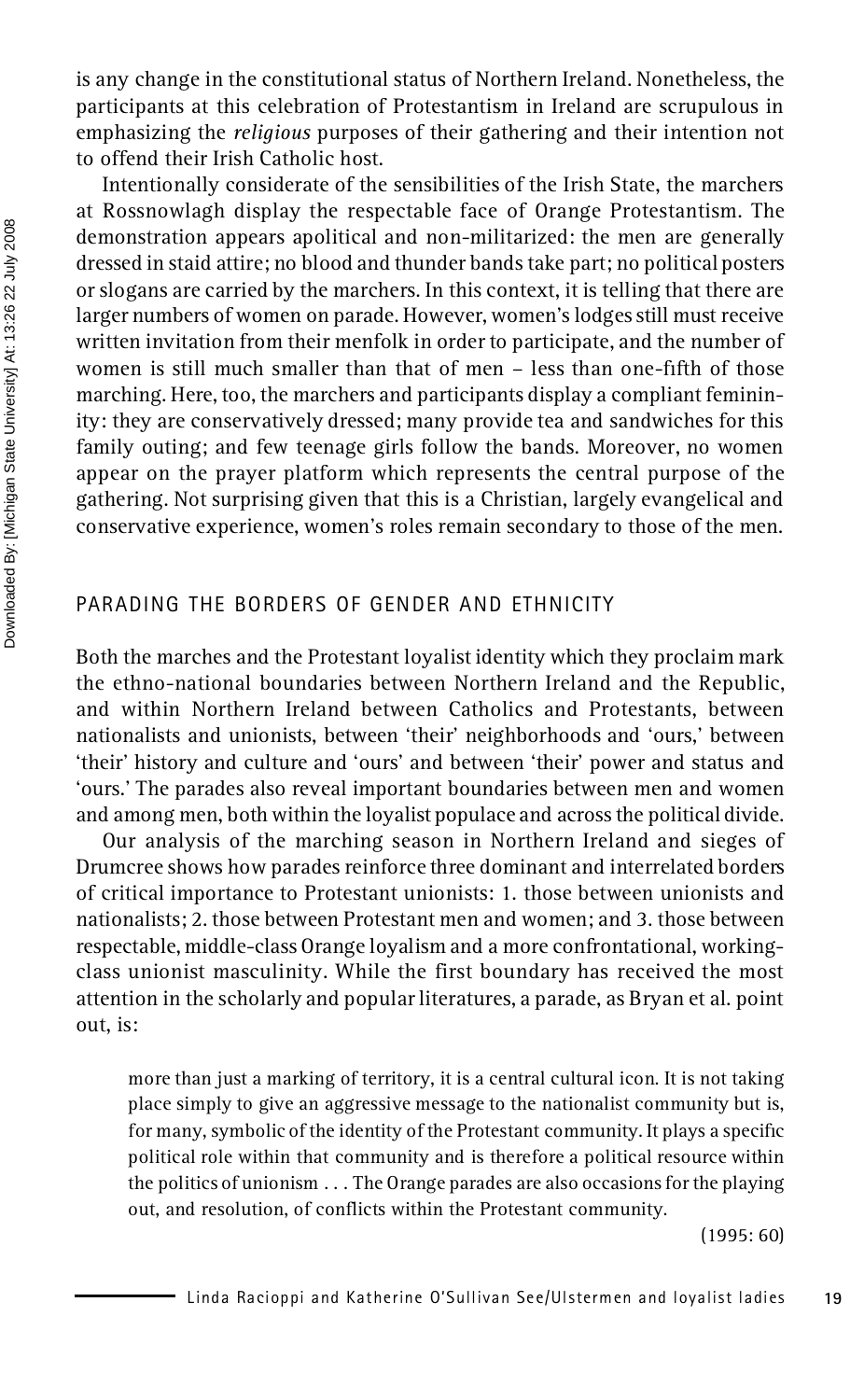is any change in the constitutional status of Northern Ireland. Nonetheless, the participants at this celebration of Protestantism in Ireland are scrupulous in emphasizing the *religious* purposes of their gathering and their intention not to offend their Irish Catholic host.

Intentionally considerate of the sensibilities of the Irish State, the marchers at Rossnowlagh display the respectable face of Orange Protestantism. The demonstration appears apolitical and non-militarized: the men are generally dressed in staid attire; no blood and thunder bands take part; no political posters or slogans are carried by the marchers. In this context, it is telling that there are larger numbers of women on parade. However, women's lodges still must receive written invitation from their menfolk in order to participate, and the number of women is still much smaller than that of men – less than one-fth of those marching. Here, too, the marchers and participants display a compliant femininity: they are conservatively dressed; many provide tea and sandwiches for this family outing; and few teenage girls follow the bands. Moreover, no women appear on the prayer platform which represents the central purpose of the gathering. Not surprising given that this is a Christian, largely evangelical and conservative experience, women's roles remain secondary to those of the men.

#### PARADING THE BORDERS OF GENDER AND ETHNICITY

Both the marches and the Protestant loyalist identity which they proclaim mark the ethno-national boundaries between Northern Ireland and the Republic, and within Northern Ireland between Catholics and Protestants, between nationalists and unionists, between 'their' neighborhoods and 'ours,' between 'their' history and culture and 'ours' and between 'their' power and status and 'ours.' The parades also reveal important boundaries between men and women and among men, both within the loyalist populace and across the political divide.

Our analysis of the marching season in Northern Ireland and sieges of Drumcree shows how parades reinforce three dominant and interrelated borders of critical importance to Protestant unionists: 1. those between unionists and nationalists; 2. those between Protestant men and women; and 3. those between respectable, middle-class Orange loyalism and a more confrontational, working class unionist masculinity. While the first boundary has received the most attention in the scholarly and popular literatures, a parade, as Bryan et al. point out, is:

more than just a marking of territory, it is a central cultural icon. It is not taking place simply to give an aggressive message to the nationalist community but is, for many, symbolic of the identity of the Protestant community. It plays a specific political role within that community and is therefore a political resource within the politics of unionism . . . The Orange parades are also occasions for the playing out, and resolution, of conflicts within the Protestant community.

(1995: 60)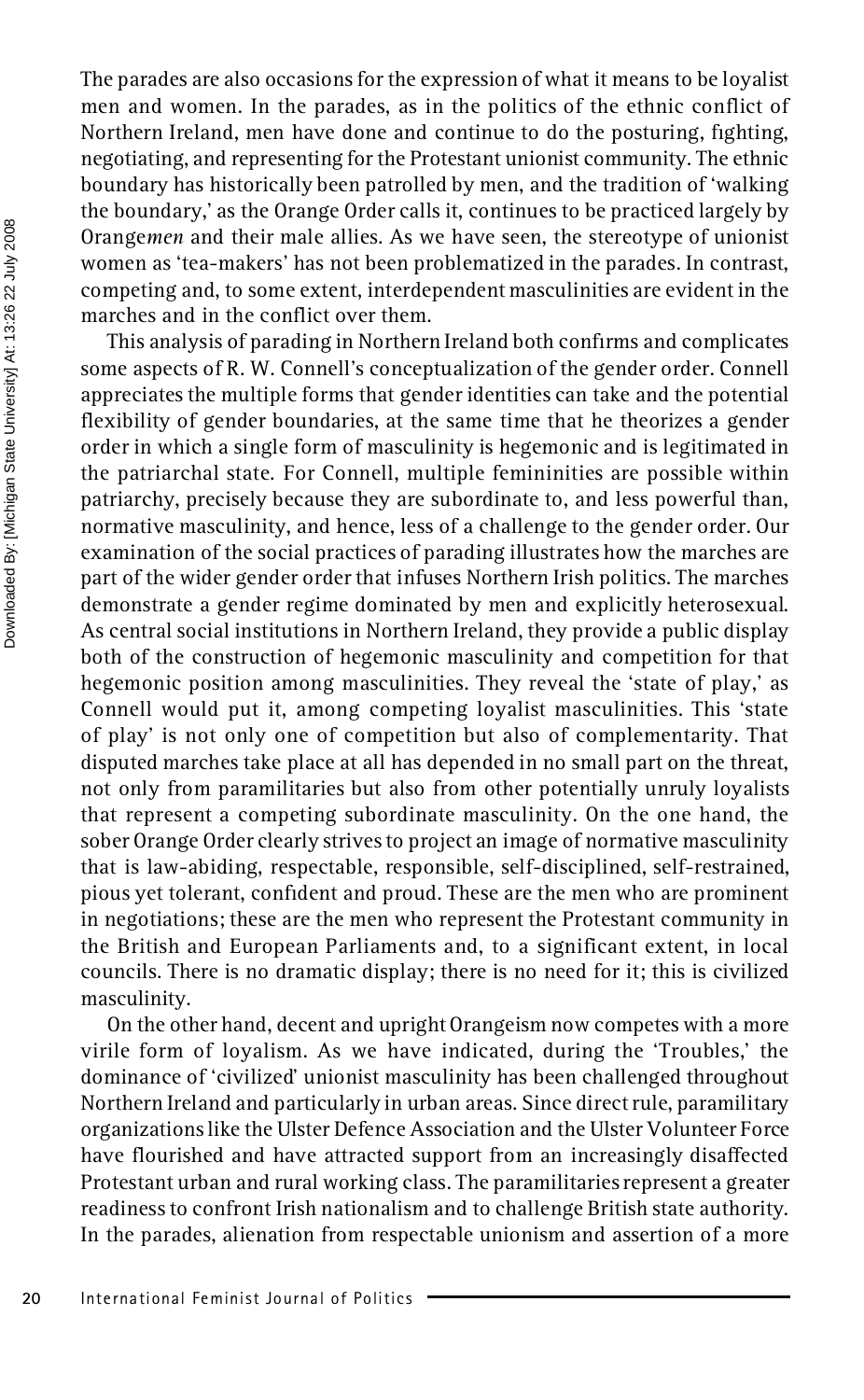The parades are also occasions for the expression of what it means to be loyalist men and women. In the parades, as in the politics of the ethnic conflict of Northern Ireland, men have done and continue to do the posturing, fighting, negotiating, and representing for the Protestant unionist community. The ethnic boundary has historically been patrolled by men, and the tradition of 'walking the boundary,' as the Orange Order calls it, continues to be practiced largely by Orange*men* and their male allies. As we have seen, the stereotype of unionist women as 'tea-makers' has not been problematized in the parades. In contrast, competing and, to some extent, interdependent masculinities are evident in the marches and in the conflict over them.

This analysis of parading in Northern Ireland both confirms and complicates some aspects of R. W. Connell's conceptualization of the gender order. Connell appreciates the multiple forms that gender identities can take and the potential flexibility of gender boundaries, at the same time that he theorizes a gender order in which a single form of masculinity is hegemonic and is legitimated in the patriarchal state. For Connell, multiple femininities are possible within patriarchy, precisely because they are subordinate to, and less powerful than, normative masculinity, and hence, less of a challenge to the gender order. Our examination of the social practices of parading illustrates how the marches are part of the wider gender order that infuses Northern Irish politics. The marches demonstrate a gender regime dominated by men and explicitly heterosexual. As central social institutions in Northern Ireland, they provide a public display both of the construction of hegemonic masculinity and competition for that hegemonic position among masculinities. They reveal the 'state of play,' as Connell would put it, among competing loyalist masculinities. This 'state of play' is not only one of competition but also of complementarity. That disputed marches take place at all has depended in no small part on the threat, not only from paramilitaries but also from other potentially unruly loyalists that represent a competing subordinate masculinity. On the one hand, the sober Orange Order clearly strives to project an image of normative masculinity that is law-abiding, respectable, responsible, self-disciplined, self-restrained, pious yet tolerant, confident and proud. These are the men who are prominent in negotiations; these are the men who represent the Protestant community in the British and European Parliaments and, to a significant extent, in local councils. There is no dramatic display; there is no need for it; this is civilized masculinity.

On the other hand, decent and upright Orangeism now competes with a more virile form of loyalism. As we have indicated, during the 'Troubles,' the dominance of 'civilized' unionist masculinity has been challenged throughout Northern Ireland and particularly in urban areas. Since direct rule, paramilitary organizations like the Ulster Defence Association and the Ulster Volunteer Force have flourished and have attracted support from an increasingly disaffected Protestant urban and rural working class. The paramilitaries represent a greater readiness to confront Irish nationalism and to challenge British state authority. In the parades, alienation from respectable unionism and assertion of a more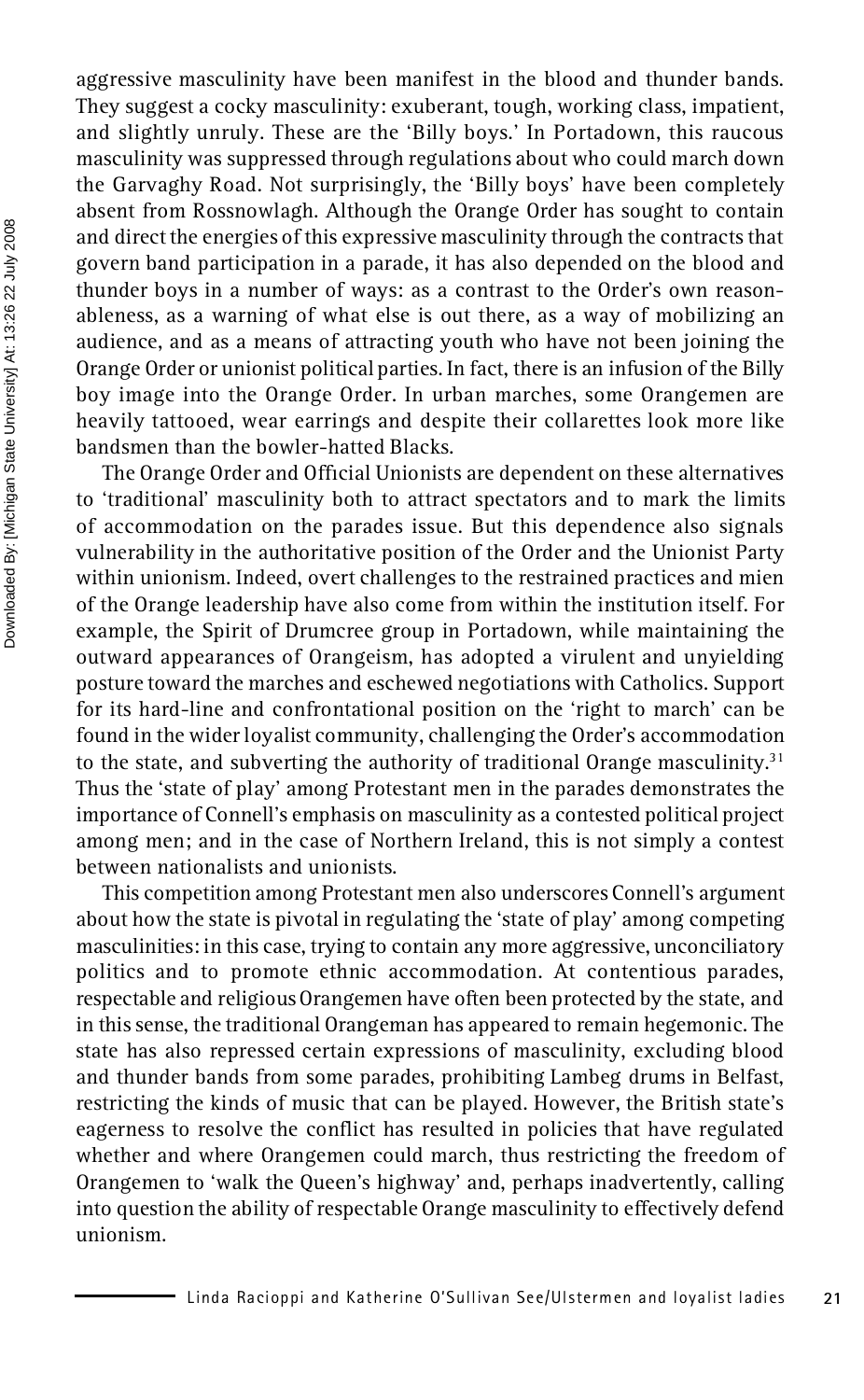aggressive masculinity have been manifest in the blood and thunder bands. They suggest a cocky masculinity: exuberant, tough, working class, impatient, and slightly unruly. These are the 'Billy boys.' In Portadown, this raucous masculinity was suppressed through regulations about who could march down the Garvaghy Road. Not surprisingly, the 'Billy boys' have been completely absent from Rossnowlagh. Although the Orange Order has sought to contain and direct the energies of this expressive masculinity through the contracts that govern band participation in a parade, it has also depended on the blood and thunder boys in a number of ways: as a contrast to the Order's own reason ableness, as a warning of what else is out there, as a way of mobilizing an audience, and as a means of attracting youth who have not been joining the Orange Order or unionist political parties. In fact, there is an infusion of the Billy boy image into the Orange Order. In urban marches, some Orangemen are heavily tattooed, wear earrings and despite their collarettes look more like bandsmen than the bowler-hatted Blacks.

The Orange Order and Official Unionists are dependent on these alternatives to 'traditional' masculinity both to attract spectators and to mark the limits of accommodation on the parades issue. But this dependence also signals vulnerability in the authoritative position of the Order and the Unionist Party within unionism. Indeed, overt challenges to the restrained practices and mien of the Orange leadership have also come from within the institution itself. For example, the Spirit of Drumcree group in Portadown, while maintaining the outward appearances of Orangeism, has adopted a virulent and unyielding posture toward the marches and eschewed negotiations with Catholics. Support for its hard-line and confrontational position on the 'right to march' can be found in the wider loyalist community, challenging the Order's accommodation to the state, and subverting the authority of traditional Orange masculinity.<sup>31</sup> Thus the 'state of play' among Protestant men in the parades demonstrates the importance of Connell's emphasis on masculinity as a contested political project among men; and in the case of Northern Ireland, this is not simply a contest between nationalists and unionists.

This competition among Protestant men also underscores Connell's argument about how the state is pivotal in regulating the 'state of play' among competing masculinities: in this case, trying to contain any more aggressive, unconciliatory politics and to promote ethnic accommodation. At contentious parades, respectable and religious Orangemen have often been protected by the state, and in this sense, the traditional Orangeman has appeared to remain hegemonic. The state has also repressed certain expressions of masculinity, excluding blood and thunder bands from some parades, prohibiting Lambeg drums in Belfast, restricting the kinds of music that can be played. However, the British state's eagerness to resolve the conflict has resulted in policies that have regulated whether and where Orangemen could march, thus restricting the freedom of Orangemen to 'walk the Queen's highway' and, perhaps inadvertently, calling into question the ability of respectable Orange masculinity to effectively defend unionism.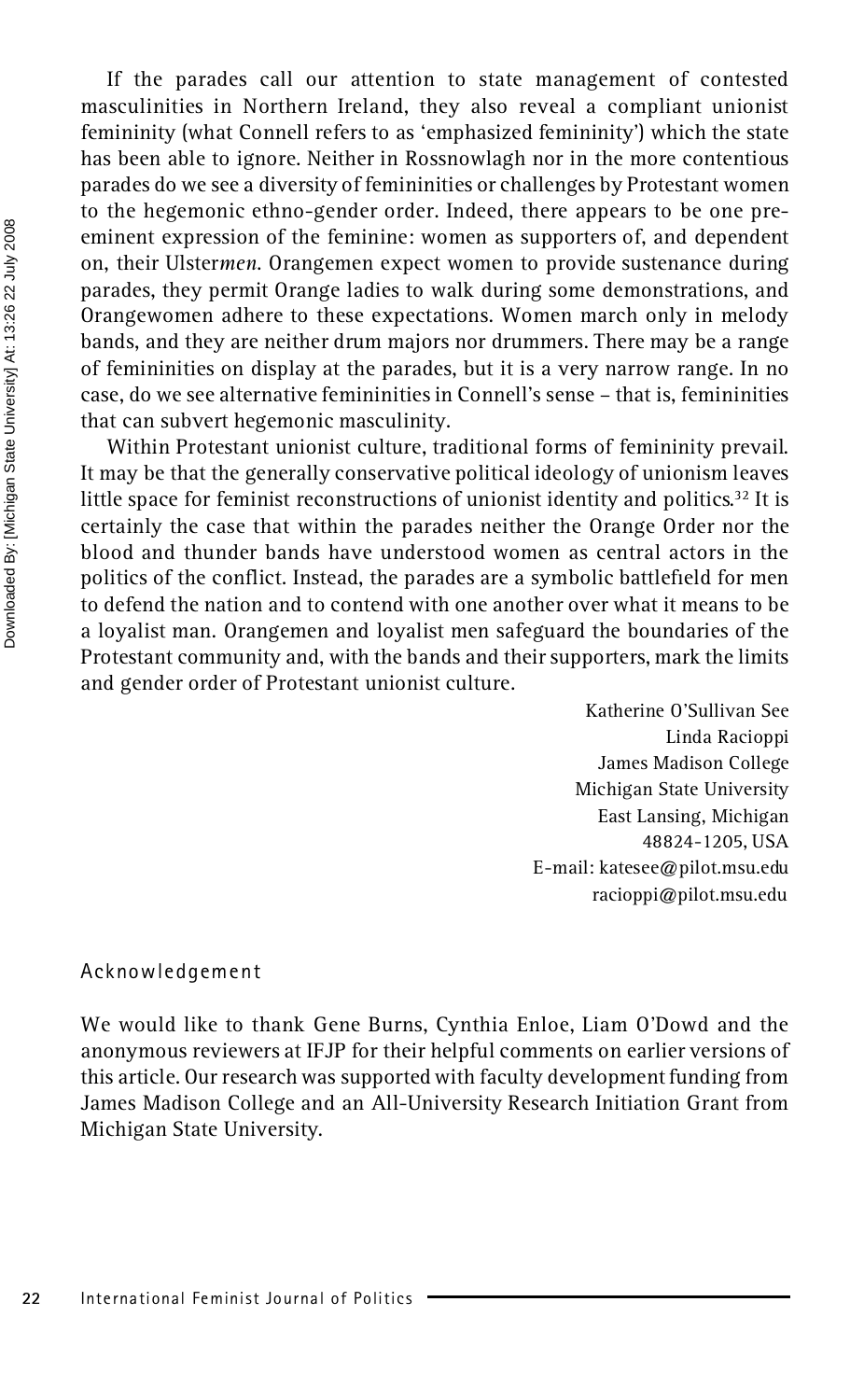If the parades call our attention to state management of contested masculinities in Northern Ireland, they also reveal a compliant unionist femininity (what Connell refers to as 'emphasized femininity') which the state has been able to ignore. Neither in Rossnowlagh nor in the more contentious parades do we see a diversity of femininities or challenges by Protestant women to the hegemonic ethno-gender order. Indeed, there appears to be one pre eminent expression of the feminine: women as supporters of, and dependent on, their Ulster*men*. Orangemen expect women to provide sustenance during parades, they permit Orange ladies to walk during some demonstrations, and Orangewomen adhere to these expectations. Women march only in melody bands, and they are neither drum majors nor drummers. There may be a range of femininities on display at the parades, but it is a very narrow range. In no case, do we see alternative femininities in Connell's sense – that is, femininities that can subvert hegemonic masculinity.

Within Protestant unionist culture, traditional forms of femininity prevail. It may be that the generally conservative political ideology of unionism leaves little space for feminist reconstructions of unionist identity and politics.<sup>32</sup> It is certainly the case that within the parades neither the Orange Order nor the blood and thunder bands have understood women as central actors in the politics of the conflict. Instead, the parades are a symbolic battlefield for men to defend the nation and to contend with one another over what it means to be a loyalist man. Orangemen and loyalist men safeguard the boundaries of the Protestant community and, with the bands and their supporters, mark the limits and gender order of Protestant unionist culture.

> Katherine O'Sullivan See Linda Racioppi James Madison College Michigan State University East Lansing, Michigan 48824-1205, USA E-mail: katesee@pilot.msu.edu racioppi@pilot.msu.edu

#### Acknowledgement

We would like to thank Gene Burns, Cynthia Enloe, Liam O'Dowd and the anonymous reviewers at IFJP for their helpful comments on earlier versions of this article. Our research was supported with faculty development funding from James Madison College and an All-University Research Initiation Grant from Michigan State University.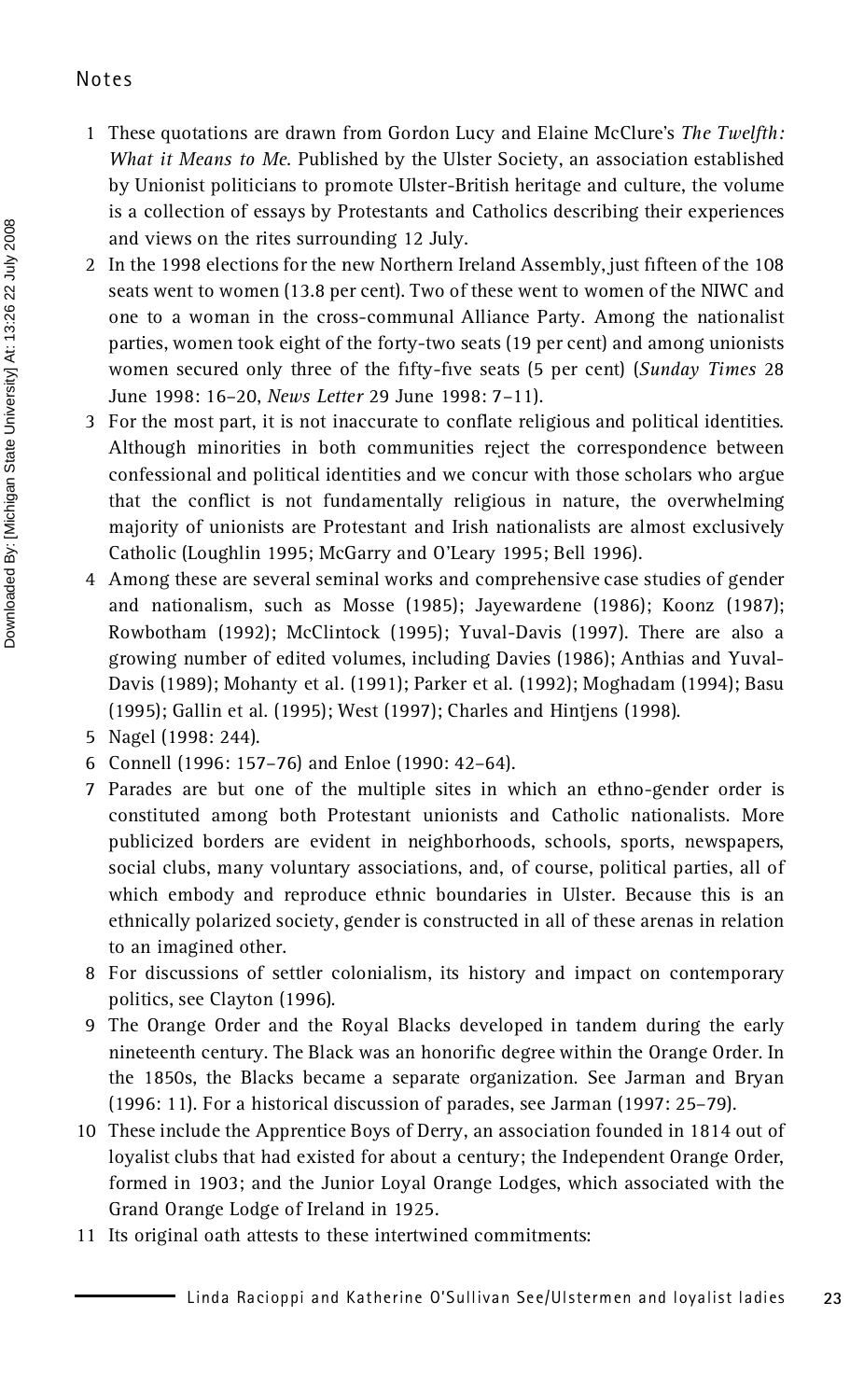#### Notes

- 1 These quotations are drawn from Gordon Lucy and Elaine McClure's *The Twelfth: What it Means to Me*. Published by the Ulster Society, an association established by Unionist politicians to promote Ulster-British heritage and culture, the volume is a collection of essays by Protestants and Catholics describing their experiences and views on the rites surrounding 12 July.
- 2 In the 1998 elections for the new Northern Ireland Assembly, just fifteen of the 108 seats went to women (13.8 per cent). Two of these went to women of the NIWC and one to a woman in the cross-communal Alliance Party. Among the nationalist parties, women took eight of the forty-two seats (19 per cent) and among unionists women secured only three of the fifty-five seats (5 per cent) (*Sunday Times* 28 June 1998: 16–20, *News Letter* 29 June 1998: 7–11).
- 3 For the most part, it is not inaccurate to conflate religious and political identities. Although minorities in both communities reject the correspondence between confessional and political identities and we concur with those scholars who argue that the conflict is not fundamentally religious in nature, the overwhelming majority of unionists are Protestant and Irish nationalists are almost exclusively Catholic (Loughlin 1995; McGarry and O'Leary 1995; Bell 1996).
- 4 Among these are several seminal works and comprehensive case studies of gender and nationalism, such as Mosse (1985); Jayewardene (1986); Koonz (1987); Rowbotham (1992); McClintock (1995); Yuval-Davis (1997). There are also a growing number of edited volumes, including Davies (1986); Anthias and Yuval- Davis (1989); Mohanty et al. (1991); Parker et al. (1992); Moghadam (1994); Basu (1995); Gallin et al. (1995); West (1997); Charles and Hintjens (1998).
- 5 Nagel (1998: 244).
- 6 Connell (1996: 157–76) and Enloe (1990: 42–64).
- 7 Parades are but one of the multiple sites in which an ethno-gender order is constituted among both Protestant unionists and Catholic nationalists. More publicized borders are evident in neighborhoods, schools, sports, newspapers, social clubs, many voluntary associations, and, of course, political parties, all of which embody and reproduce ethnic boundaries in Ulster. Because this is an ethnically polarized society, gender is constructed in all of these arenas in relation to an imagined other.
- 8 For discussions of settler colonialism, its history and impact on contemporary politics, see Clayton (1996).
- 9 The Orange Order and the Royal Blacks developed in tandem during the early nineteenth century. The Black was an honorific degree within the Orange Order. In the 1850s, the Blacks became a separate organization. See Jarman and Bryan (1996: 11). For a historical discussion of parades, see Jarman (1997: 25–79).
- 10 These include the Apprentice Boys of Derry, an association founded in 1814 out of loyalist clubs that had existed for about a century; the Independent Orange Order, formed in 1903; and the Junior Loyal Orange Lodges, which associated with the Grand Orange Lodge of Ireland in 1925.
- 11 Its original oath attests to these intertwined commitments: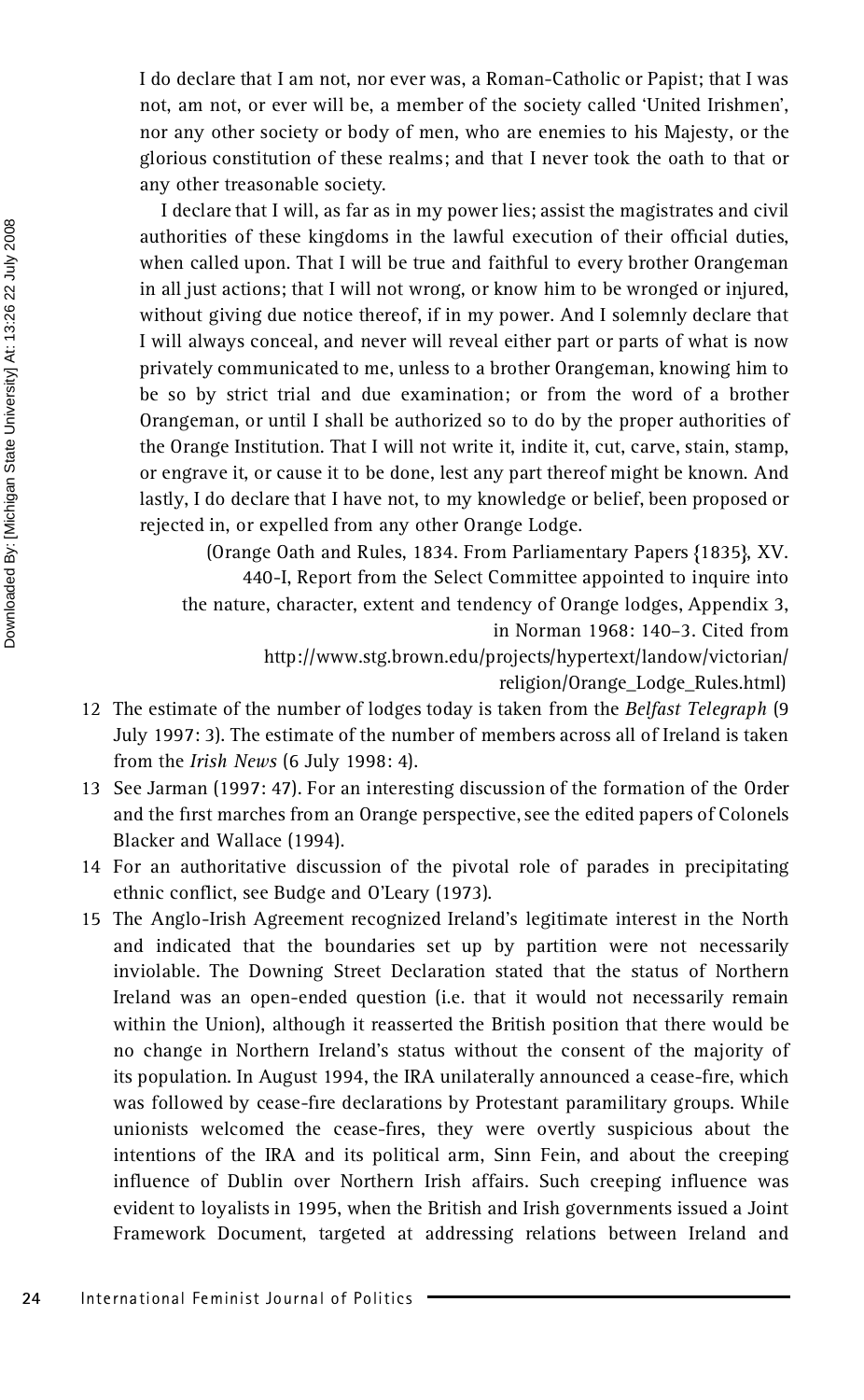I do declare that I am not, nor ever was, a Roman-Catholic or Papist; that I was not, am not, or ever will be, a member of the society called 'United Irishmen', nor any other society or body of men, who are enemies to his Majesty, or the glorious constitution of these realms; and that I never took the oath to that or any other treasonable society.

I declare that I will, as far as in my power lies; assist the magistrates and civil authorities of these kingdoms in the lawful execution of their official duties, when called upon. That I will be true and faithful to every brother Orangeman in all just actions; that I will not wrong, or know him to be wronged or injured, without giving due notice thereof, if in my power. And I solemnly declare that I will always conceal, and never will reveal either part or parts of what is now privately communicated to me, unless to a brother Orangeman, knowing him to be so by strict trial and due examination; or from the word of a brother Orangeman, or until I shall be authorized so to do by the proper authorities of the Orange Institution. That I will not write it, indite it, cut, carve, stain, stamp, or engrave it, or cause it to be done, lest any part thereof might be known. And lastly, I do declare that I have not, to my knowledge or belief, been proposed or rejected in, or expelled from any other Orange Lodge.

(Orange Oath and Rules, 1834. From Parliamentary Papers {1835}, XV.

440-I, Report from the Select Committee appointed to inquire into the nature, character, extent and tendency of Orange lodges, Appendix 3, in Norman 1968: 140–3. Cited from

> http://www.stg.brown.edu/projects/hypertext/landow/victorian/ religion/Orange\_Lodge\_Rules.html)

- 12 The estimate of the number of lodges today is taken from the *Belfast Telegraph* (9 July 1997: 3). The estimate of the number of members across all of Ireland is taken from the *Irish News* (6 July 1998: 4).
- 13 See Jarman (1997: 47). For an interesting discussion of the formation of the Order and the first marches from an Orange perspective, see the edited papers of Colonels Blacker and Wallace (1994).
- 14 For an authoritative discussion of the pivotal role of parades in precipitating ethnic conflict, see Budge and O'Leary (1973).
- 15 The Anglo-Irish Agreement recognized Ireland's legitimate interest in the North and indicated that the boundaries set up by partition were not necessarily inviolable. The Downing Street Declaration stated that the status of Northern Ireland was an open-ended question (i.e. that it would not necessarily remain within the Union), although it reasserted the British position that there would be no change in Northern Ireland's status without the consent of the majority of its population. In August 1994, the IRA unilaterally announced a cease-fire, which was followed by cease-fire declarations by Protestant paramilitary groups. While unionists welcomed the cease-fires, they were overtly suspicious about the intentions of the IRA and its political arm, Sinn Fein, and about the creeping influence of Dublin over Northern Irish affairs. Such creeping influence was evident to loyalists in 1995, when the British and Irish governments issued a Joint Framework Document, targeted at addressing relations between Ireland and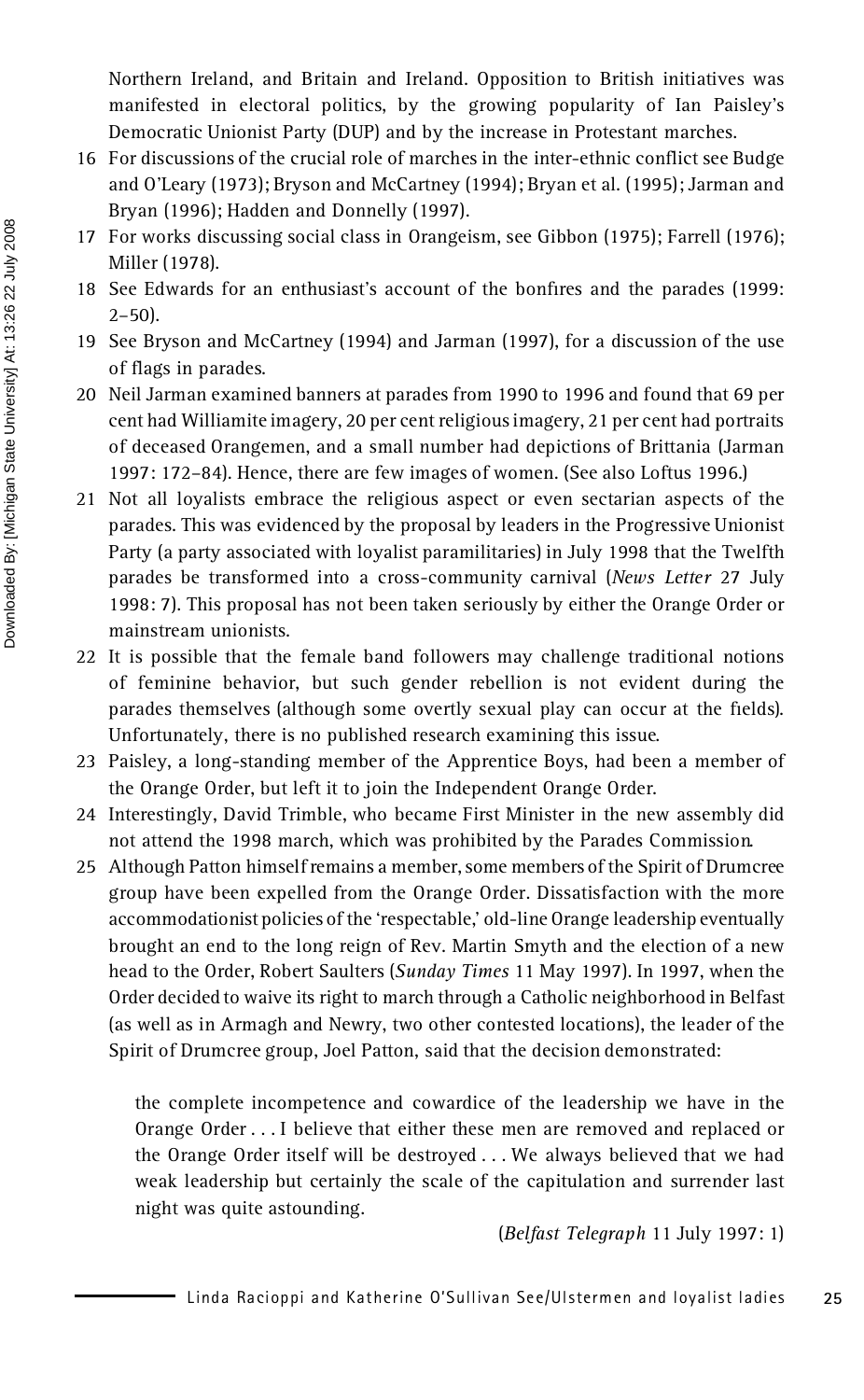Northern Ireland, and Britain and Ireland. Opposition to British initiatives was manifested in electoral politics, by the growing popularity of Ian Paisley's Democratic Unionist Party (DUP) and by the increase in Protestant marches.

- 16 For discussions of the crucial role of marches in the inter-ethnic conflict see Budge and O'Leary (1973); Bryson and McCartney (1994); Bryan et al. (1995); Jarman and Bryan (1996); Hadden and Donnelly (1997).
- 17 For works discussing social class in Orangeism, see Gibbon (1975); Farrell (1976); Miller (1978).
- 18 See Edwards for an enthusiast's account of the bonfires and the parades (1999:  $2 - 50$ ).
- 19 See Bryson and McCartney (1994) and Jarman (1997), for a discussion of the use of flags in parades.
- 20 Neil Jarman examined banners at parades from 1990 to 1996 and found that 69 per cent had Williamite imagery, 20 per cent religious imagery, 21 per cent had portraits of deceased Orangemen, and a small number had depictions of Brittania (Jarman 1997: 172–84). Hence, there are few images of women. (See also Loftus 1996.)
- 21 Not all loyalists embrace the religious aspect or even sectarian aspects of the parades. This was evidenced by the proposal by leaders in the Progressive Unionist Party (a party associated with loyalist paramilitaries) in July 1998 that the Twelfth parades be transformed into a cross-community carnival (*News Letter* 27 July 1998: 7). This proposal has not been taken seriously by either the Orange Order or mainstream unionists.
- 22 It is possible that the female band followers may challenge traditional notions of feminine behavior, but such gender rebellion is not evident during the parades themselves (although some overtly sexual play can occur at the fields). Unfortunately, there is no published research examining this issue.
- 23 Paisley, a long-standing member of the Apprentice Boys, had been a member of the Orange Order, but left it to join the Independent Orange Order.
- 24 Interestingly, David Trimble, who became First Minister in the new assembly did not attend the 1998 march, which was prohibited by the Parades Commission.
- 25 Although Patton himself remains a member, some members of the Spirit of Drumcree group have been expelled from the Orange Order. Dissatisfaction with the more accommodationist policies of the 'respectable,' old-line Orange leadership eventually brought an end to the long reign of Rev. Martin Smyth and the election of a new head to the Order, Robert Saulters (*Sunday Times* 11 May 1997). In 1997, when the Order decided to waive its right to march through a Catholic neighborhood in Belfast (as well as in Armagh and Newry, two other contested locations), the leader of the Spirit of Drumcree group, Joel Patton, said that the decision demonstrated:

the complete incompetence and cowardice of the leadership we have in the Orange Order . . . I believe that either these men are removed and replaced or the Orange Order itself will be destroyed . . . We always believed that we had weak leadership but certainly the scale of the capitulation and surrender last night was quite astounding.

(*Belfast Telegraph* 11 July 1997: 1)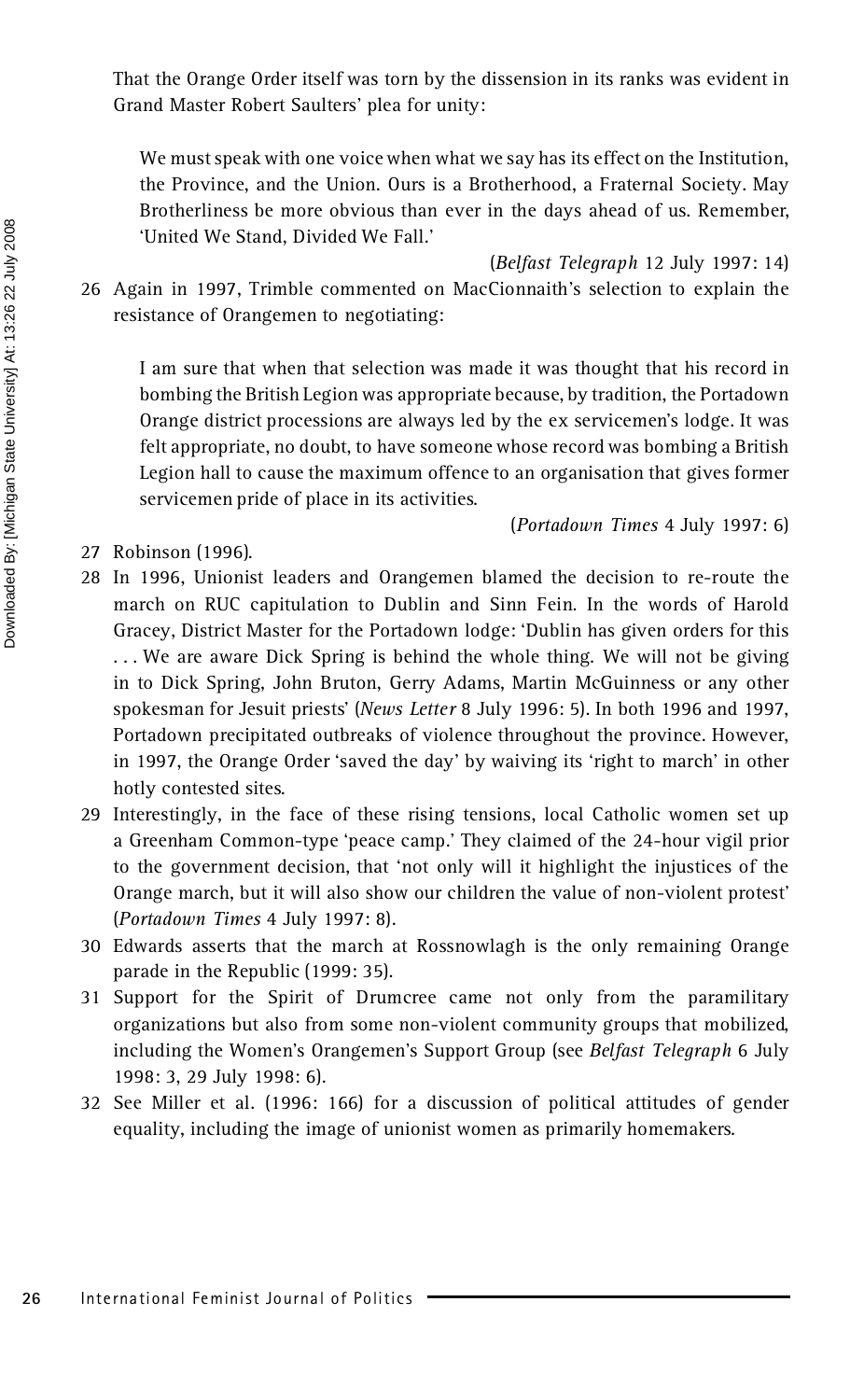That the Orange Order itself was torn by the dissension in its ranks was evident in Grand Master Robert Saulters' plea for unity:

We must speak with one voice when what we say has its effect on the Institution, the Province, and the Union. Ours is a Brotherhood, a Fraternal Society. May Brotherliness be more obvious than ever in the days ahead of us. Remember, 'United We Stand, Divided We Fall.'

(*Belfast Telegraph* 12 July 1997: 14)

26 Again in 1997, Trimble commented on MacCionnaith's selection to explain the resistance of Orangemen to negotiating:

I am sure that when that selection was made it was thought that his record in bombing the British Legion was appropriate because, by tradition, the Portadown Orange district processions are always led by the ex servicemen's lodge. It was felt appropriate, no doubt, to have someone whose record was bombing a British Legion hall to cause the maximum offence to an organisation that gives former servicemen pride of place in its activities.

(*Portadown Times* 4 July 1997: 6)

- 27 Robinson (1996).
- 28 In 1996, Unionist leaders and Orangemen blamed the decision to re-route the march on RUC capitulation to Dublin and Sinn Fein. In the words of Harold Gracey, District Master for the Portadown lodge: 'Dublin has given orders for this ... We are aware Dick Spring is behind the whole thing. We will not be giving in to Dick Spring, John Bruton, Gerry Adams, Martin McGuinness or any other spokesman for Jesuit priests' (*News Letter* 8 July 1996: 5). In both 1996 and 1997, Portadown precipitated outbreaks of violence throughout the province. However, in 1997, the Orange Order 'saved the day' by waiving its 'right to march' in other hotly contested sites.
- <sup>29</sup> Interestingly, in the face of these rising tensions, local Catholic women set up a Greenham Common-type 'peace camp.' They claimed of the 24-hour vigil prior to the government decision, that 'not only will it highlight the injustices of the Orange march, but it will also show our children the value of non-violent protest' (*Portadown Times* 4 July 1997: 8).
- 30 Edwards asserts that the march at Rossnowlagh is the only remaining Orange parade in the Republic (1999: 35).
- 31 Support for the Spirit of Drumcree came not only from the paramilitary organizations but also from some non-violent community groups that mobilized, including the Women's Orangemen's Support Group (see *Belfast Telegraph* 6 July 1998: 3, 29 July 1998: 6).
- 32 See Miller et al. (1996: 166) for a discussion of political attitudes of gender equality, including the image of unionist women as primarily homemakers.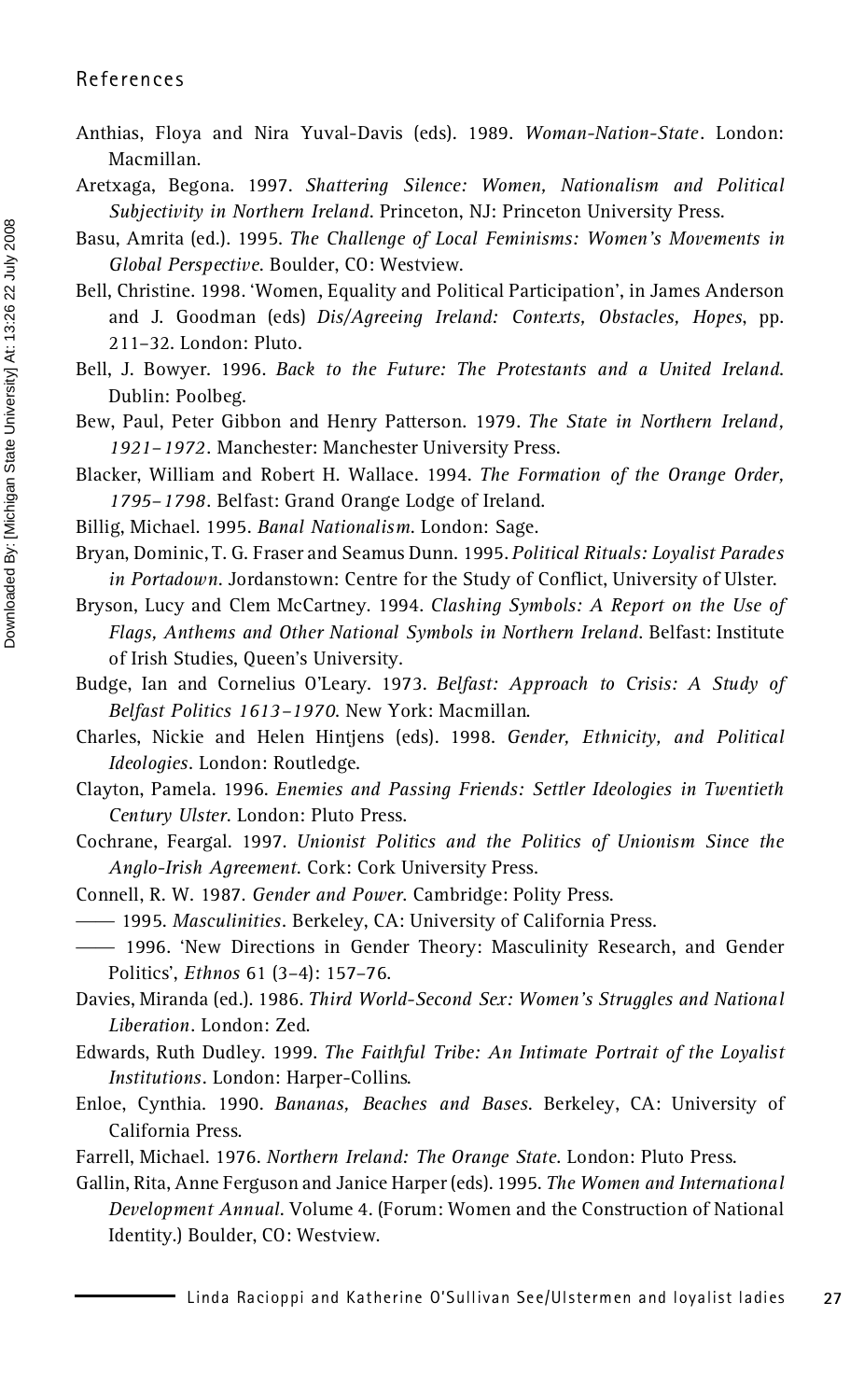- Anthias, Floya and Nira Yuval-Davis (eds). 1989. *Woman-Nation-State*. London: Macmillan.
- Aretxaga, Begona. 1997. *Shattering Silence: Women, Nationalism and Political Subjectivity in Northern Ireland*. Princeton, NJ: Princeton University Press.
- Basu, Amrita (ed.). 1995. *The Challenge of Local Feminisms: Women's Movements in Global Perspective*. Boulder, CO: Westview.
- Bell, Christine. 1998. 'Women, Equality and Political Participation', in James Anderson and J. Goodman (eds) *Dis/Agreeing Ireland: Contexts, Obstacles, Hopes*, pp. 211–32. London: Pluto.
- Bell, J. Bowyer. 1996. *Back to the Future: The Protestants and a United Ireland*. Dublin: Poolbeg.
- Bew, Paul, Peter Gibbon and Henry Patterson. 1979. *The State in Northern Ireland, 1921–1972*. Manchester: Manchester University Press.
- Blacker, William and Robert H. Wallace. 1994. *The Formation of the Orange Order, 1795–1798*. Belfast: Grand Orange Lodge of Ireland.
- Billig, Michael. 1995. *Banal Nationalism*. London: Sage.
- Bryan, Dominic, T. G. Fraser and Seamus Dunn. 1995. *Political Rituals: Loyalist Parades* in Portadown. Jordanstown: Centre for the Study of Conflict, University of Ulster.
- Bryson, Lucy and Clem McCartney. 1994. *Clashing Symbols: A Report on the Use of Flags, Anthems and Other National Symbols in Northern Ireland*. Belfast: Institute of Irish Studies, Queen's University.
- Budge, Ian and Cornelius O'Leary. 1973. *Belfast: Approach to Crisis: A Study of Belfast Politics 1613–1970*. New York: Macmillan.
- Charles, Nickie and Helen Hintjens (eds). 1998. *Gender, Ethnicity, and Political Ideologies*. London: Routledge.
- Clayton, Pamela. 1996. *Enemies and Passing Friends: Settler Ideologies in Twentieth Century Ulster*. London: Pluto Press.
- Cochrane, Feargal. 1997. *Unionist Politics and the Politics of Unionism Since the Anglo-Irish Agreement*. Cork: Cork University Press.
- Connell, R. W. 1987. *Gender and Power*. Cambridge: Polity Press.
- —— 1995. *Masculinities*. Berkeley, CA: University of California Press.
- —— 1996. 'New Directions in Gender Theory: Masculinity Research, and Gender Politics', *Ethnos* 61 (3–4): 157–76.
- Davies, Miranda (ed.). 1986. *Third World-Second Sex: Women's Struggles and National Liberation*. London: Zed.
- Edwards, Ruth Dudley. 1999. *The Faithful Tribe: An Intimate Portrait of the Loyalist Institutions*. London: Harper-Collins.
- Enloe, Cynthia. 1990. *Bananas, Beaches and Bases*. Berkeley, CA: University of California Press.
- Farrell, Michael. 1976. *Northern Ireland: The Orange State*. London: Pluto Press.
- Gallin, Rita, Anne Ferguson and Janice Harper (eds). 1995. *The Women and International Development Annual*. Volume 4. (Forum: Women and the Construction of National Identity.) Boulder, CO: Westview.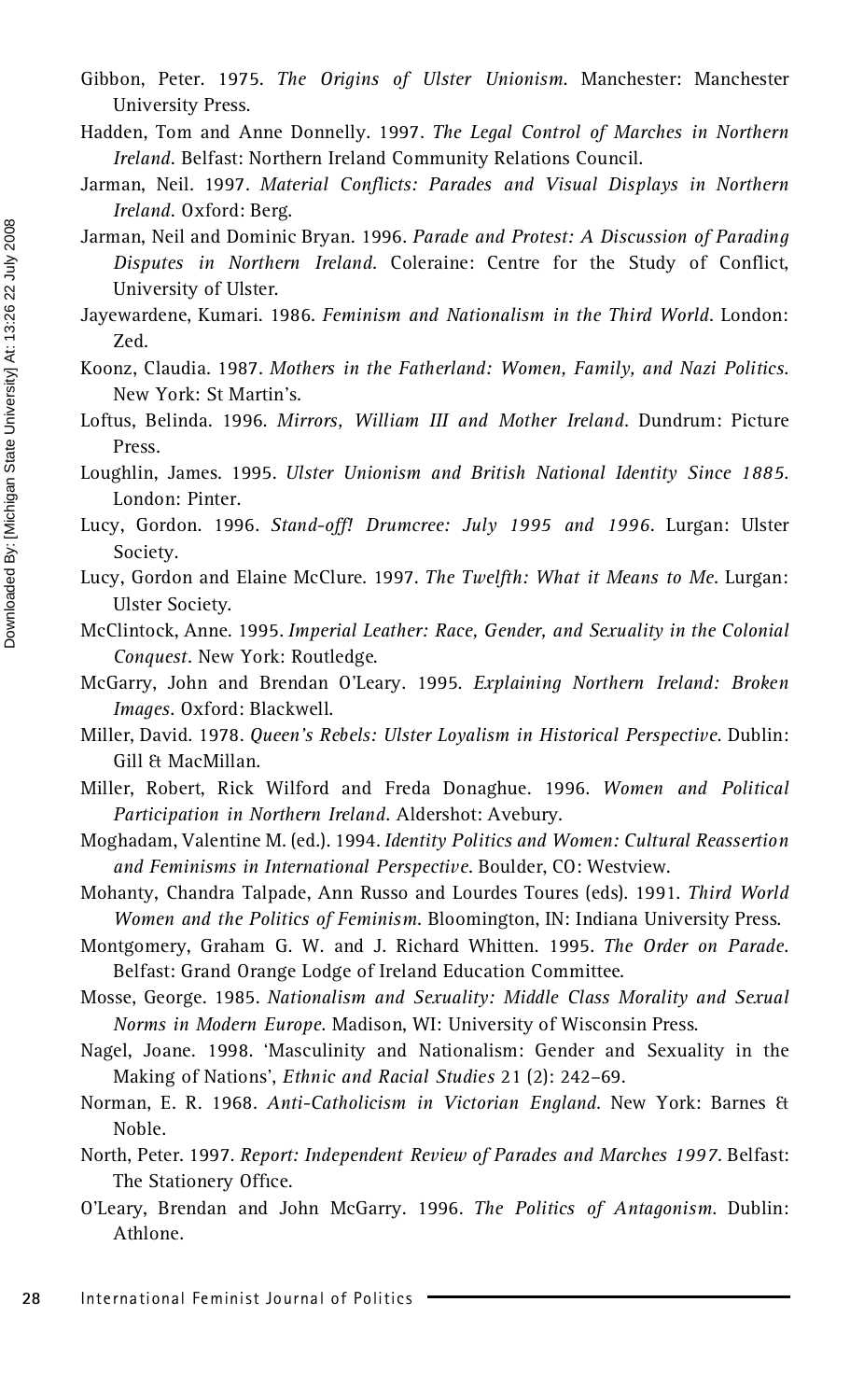- Gibbon, Peter. 1975. *The Origins of Ulster Unionism*. Manchester: Manchester University Press.
- Hadden, Tom and Anne Donnelly. 1997. *The Legal Control of Marches in Northern Ireland*. Belfast: Northern Ireland Community Relations Council.
- Jarman, Neil. 1997. Material Conflicts: Parades and Visual Displays in Northern *Ireland*. Oxford: Berg.
- Jarman, Neil and Dominic Bryan. 1996. *Parade and Protest: A Discussion of Parading Disputes in Northern Ireland*. Coleraine: Centre for the Study of Conflict, University of Ulster.
- Jayewardene, Kumari. 1986. *Feminism and Nationalism in the Third World*. London: Zed.
- Koonz, Claudia. 1987. *Mothers in the Fatherland: Women, Family, and Nazi Politics*. New York: St Martin's.
- Loftus, Belinda. 1996. *Mirrors, William III and Mother Ireland*. Dundrum: Picture Press.
- Loughlin, James. 1995. *Ulster Unionism and British National Identity Since 1885*. London: Pinter.
- Lucy, Gordon. 1996. *Stand-off! Drumcree: July 1995 and 1996*. Lurgan: Ulster Society.
- Lucy, Gordon and Elaine McClure. 1997. *The Twelfth: What it Means to Me*. Lurgan: Ulster Society.
- McClintock, Anne. 1995. *Imperial Leather: Race, Gender, and Sexuality in the Colonial Conquest*. New York: Routledge.
- McGarry, John and Brendan O'Leary. 1995. *Explaining Northern Ireland: Broken Images*. Oxford: Blackwell.
- Miller, David. 1978. *Queen's Rebels: Ulster Loyalism in Historical Perspective*. Dublin: Gill & MacMillan.
- Miller, Robert, Rick Wilford and Freda Donaghue. 1996. *Women and Political Participation in Northern Ireland*. Aldershot: Avebury.
- Moghadam, Valentine M. (ed.). 1994. *Identity Politics and Women: Cultural Reassertion and Feminisms in International Perspective*. Boulder, CO: Westview.
- Mohanty, Chandra Talpade, Ann Russo and Lourdes Toures (eds). 1991. *Third World Women and the Politics of Feminism*. Bloomington, IN: Indiana University Press.
- Montgomery, Graham G. W. and J. Richard Whitten. 1995. *The Order on Parade*. Belfast: Grand Orange Lodge of Ireland Education Committee.
- Mosse, George. 1985. *Nationalism and Sexuality: Middle Class Morality and Sexual Norms in Modern Europe*. Madison, WI: University of Wisconsin Press.
- Nagel, Joane. 1998. 'Masculinity and Nationalism: Gender and Sexuality in the Making of Nations', *Ethnic and Racial Studies* 21 (2): 242–69.
- Norman, E. R. 1968. *Anti-Catholicism in Victorian England*. New York: Barnes & Noble.
- North, Peter. 1997. *Report: Independent Review of Parades and Marches 1997*. Belfast: The Stationery Office.
- O'Leary, Brendan and John McGarry. 1996. *The Politics of Antagonism*. Dublin: Athlone.